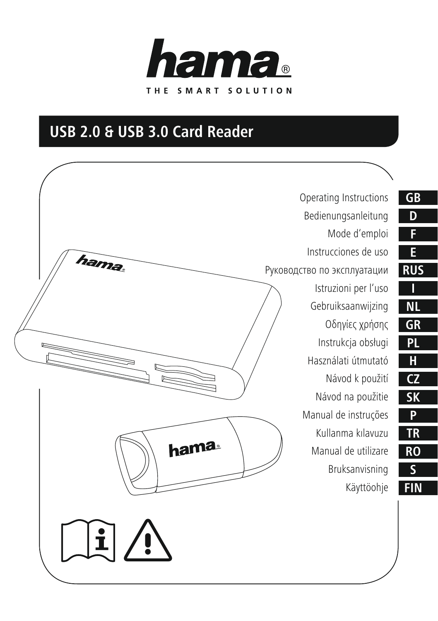

# **USB 2.0 & USB 3.0 Card Reader**

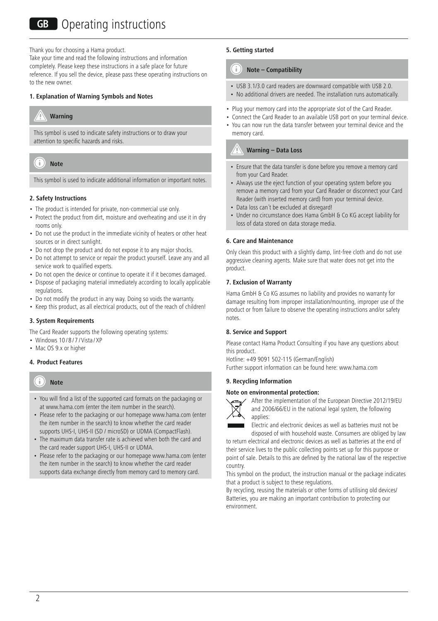Thank you for choosing a Hama product.

Take your time and read the following instructions and information completely. Please keep these instructions in a safe place for future reference. If you sell the device, please pass these operating instructions on to the new owner.

### **1. Explanation of Warning Symbols and Notes**



This symbol is used to indicate safety instructions or to draw your attention to specific hazards and risks.



This symbol is used to indicate additional information or important notes.

### **2. Safety Instructions**

- The product is intended for private, non-commercial use only.
- Protect the product from dirt, moisture and overheating and use it in dry rooms only.
- Do not use the product in the immediate vicinity of heaters or other heat sources or in direct sunlight.
- Do not drop the product and do not expose it to any major shocks.
- Do not attempt to service or repair the product yourself. Leave any and all service work to qualified experts.
- Do not open the device or continue to operate it if it becomes damaged.
- Dispose of packaging material immediately according to locally applicable regulations.
- Do not modify the product in any way. Doing so voids the warranty.
- Keep this product, as all electrical products, out of the reach of children!

### **3. System Requirements**

The Card Reader supports the following operating systems:

- Windows  $10/8/7$  / Vista / XP
- Mac OS 9.x or higher

## **4. Product Features**



- You will find a list of the supported card formats on the packaging or at www.hama.com (enter the item number in the search).
- Please refer to the packaging or our homepage www.hama.com (enter the item number in the search) to know whether the card reader supports UHS-I, UHS-II (SD / microSD) or UDMA (CompactFlash).
- The maximum data transfer rate is achieved when both the card and the card reader support UHS-I, UHS-II or UDMA.
- Please refer to the packaging or our homepage www.hama.com (enter the item number in the search) to know whether the card reader supports data exchange directly from memory card to memory card.

### **5. Getting started**

memory card.

#### T **Note – Compatibility**

- USB 3.1/3.0 card readers are downward compatible with USB 2.0.
- No additional drivers are needed. The installation runs automatically.
- Plug your memory card into the appropriate slot of the Card Reader.
- Connect the Card Reader to an available USB port on your terminal device. • You can now run the data transfer between your terminal device and the

## **Warning – Data Loss**

- Ensure that the data transfer is done before you remove a memory card from your Card Reader.
- Always use the eject function of your operating system before you remove a memory card from your Card Reader or disconnect your Card Reader (with inserted memory card) from your terminal device.
- Data loss can't be excluded at disregard!
- Under no circumstance does Hama GmbH & Co KG accept liability for loss of data stored on data storage media.

### **6. Care and Maintenance**

Only clean this product with a slightly damp, lint-free cloth and do not use aggressive cleaning agents. Make sure that water does not get into the product.

#### **7. Exclusion of Warranty**

Hama GmbH & Co KG assumes no liability and provides no warranty for damage resulting from improper installation/mounting, improper use of the product or from failure to observe the operating instructions and/or safety notes.

### **8. Service and Support**

Please contact Hama Product Consulting if you have any questions about this product.

Hotline: +49 9091 502-115 (German/English)

Further support information can be found here: www.hama.com

### **9. Recycling Information**

#### **Note on environmental protection:**



After the implementation of the European Directive 2012/19/EU and 2006/66/EU in the national legal system, the following applies:

Electric and electronic devices as well as batteries must not be disposed of with household waste. Consumers are obliged by law

to return electrical and electronic devices as well as batteries at the end of their service lives to the public collecting points set up for this purpose or point of sale. Details to this are defined by the national law of the respective country.

This symbol on the product, the instruction manual or the package indicates that a product is subject to these regulations.

By recycling, reusing the materials or other forms of utilising old devices/ Batteries, you are making an important contribution to protecting our environment.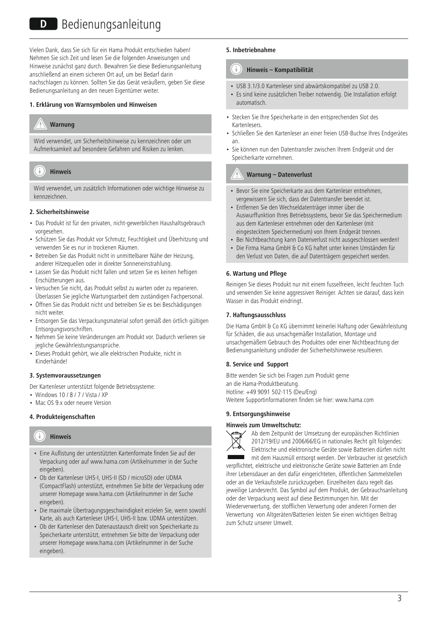Vielen Dank, dass Sie sich für ein Hama Produkt entschieden haben! Nehmen Sie sich Zeit und lesen Sie die folgenden Anweisungen und Hinweise zunächst ganz durch. Bewahren Sie diese Bedienungsanleitung anschließend an einem sicheren Ort auf, um bei Bedarf darin nachschlagen zu können. Sollten Sie das Gerät veräußern, geben Sie diese Bedienungsanleitung an den neuen Eigentümer weiter.

#### **1. Erklärung von Warnsymbolen und Hinweisen**

# **Warnung**

Wird verwendet, um Sicherheitshinweise zu kennzeichnen oder um Aufmerksamkeit auf besondere Gefahren und Risiken zu lenken.

#### Ŧ **Hinweis**

Wird verwendet, um zusätzlich Informationen oder wichtige Hinweise zu kennzeichnen.

#### **2. Sicherheitshinweise**

- Das Produkt ist für den privaten, nicht-gewerblichen Haushaltsgebrauch vorgesehen.
- Schützen Sie das Produkt vor Schmutz, Feuchtigkeit und Überhitzung und verwenden Sie es nur in trockenen Räumen.
- Betreiben Sie das Produkt nicht in unmittelbarer Nähe der Heizung, anderer Hitzequellen oder in direkter Sonneneinstrahlung.
- Lassen Sie das Produkt nicht fallen und setzen Sie es keinen heftigen Erschütterungen aus.
- Versuchen Sie nicht, das Produkt selbst zu warten oder zu reparieren. Überlassen Sie jegliche Wartungsarbeit dem zuständigen Fachpersonal.
- Öffnen Sie das Produkt nicht und betreiben Sie es bei Beschädigungen nicht weiter.
- Entsorgen Sie das Verpackungsmaterial sofort gemäß den örtlich gültigen Entsorgungsvorschriften.
- Nehmen Sie keine Veränderungen am Produkt vor. Dadurch verlieren sie jegliche Gewährleistungsansprüche.
- Dieses Produkt gehört, wie alle elektrischen Produkte, nicht in Kinderhände!

#### **3. Systemvoraussetzungen**

Der Kartenleser unterstützt folgende Betriebssysteme:

- Windows 10 / 8 / 7 / Vista / XP
- Mac OS 9.x oder neuere Version

# **4. Produkteigenschaften**

#### T **Hinweis**

- Eine Auflistung der unterstützten Kartenformate finden Sie auf der Verpackung oder auf www.hama.com (Artikelnummer in der Suche eingeben).
- Ob der Kartenleser UHS-I, UHS-II (SD / microSD) oder UDMA (CompactFlash) unterstützt, entnehmen Sie bitte der Verpackung oder unserer Homepage www.hama.com (Artikelnummer in der Suche eingeben).
- Die maximale Übertragungsgeschwindigkeit erzielen Sie, wenn sowohl Karte, als auch Kartenleser UHS-I, UHS-II bzw. UDMA unterstützen.
- Ob der Kartenleser den Datenaustausch direkt von Speicherkarte zu Speicherkarte unterstützt, entnehmen Sie bitte der Verpackung oder unserer Homepage www.hama.com (Artikelnummer in der Suche eingeben).

## **5. Inbetriebnahme**

#### n **Hinweis – Kompatibilität**

- USB 3.1/3.0 Kartenleser sind abwärtskompatibel zu USB 2.0.
- Es sind keine zusätzlichen Treiber notwendig. Die Installation erfolgt automatisch.
- Stecken Sie Ihre Speicherkarte in den entsprechenden Slot des Kartenlesers.
- Schließen Sie den Kartenleser an einer freien USB-Buchse Ihres Endgerätes an.
- Sie können nun den Datentransfer zwischen Ihrem Endgerät und der Speicherkarte vornehmen.

#### **Warnung – Datenverlust**

- Bevor Sie eine Speicherkarte aus dem Kartenleser entnehmen, vergewissern Sie sich, dass der Datentransfer beendet ist.
- Entfernen Sie den Wechseldatenträger immer über die Auswurffunktion Ihres Betriebssystems, bevor Sie das Speichermedium aus dem Kartenleser entnehmen oder den Kartenleser (mit eingestecktem Speichermedium) von Ihrem Endgerät trennen.
- Bei Nichtbeachtung kann Datenverlust nicht ausgeschlossen werden!
- Die Firma Hama GmbH & Co KG haftet unter keinen Umständen für den Verlust von Daten, die auf Datenträgern gespeichert werden.

#### **6. Wartung und Pflege**

Reinigen Sie dieses Produkt nur mit einem fusselfreien, leicht feuchten Tuch und verwenden Sie keine aggressiven Reiniger. Achten sie darauf, dass kein Wasser in das Produkt eindringt.

# **7. Haftungsausschluss**

Die Hama GmbH & Co KG übernimmt keinerlei Haftung oder Gewährleistung für Schäden, die aus unsachgemäßer Installation, Montage und unsachgemäßem Gebrauch des Produktes oder einer Nichtbeachtung der Bedienungsanleitung und/oder der Sicherheitshinweise resultieren.

#### **8. Service und Support**

Bitte wenden Sie sich bei Fragen zum Produkt gerne an die Hama-Produktberatung. Hotline: +49 9091 502-115 (Deu/Eng) Weitere Supportinformationen finden sie hier: www.hama.com

## **9. Entsorgungshinweise**

#### **Hinweis zum Umweltschutz:**



Ab dem Zeitpunkt der Umsetzung der europäischen Richtlinien 2012/19/EU und 2006/66/EG in nationales Recht gilt folgendes: Elektrische und elektronische Geräte sowie Batterien dürfen nicht mit dem Hausmüll entsorgt werden. Der Verbraucher ist gesetzlich

verpflichtet, elektrische und elektronische Geräte sowie Batterien am Ende ihrer Lebensdauer an den dafür eingerichteten, öffentlichen Sammelstellen oder an die Verkaufsstelle zurückzugeben. Einzelheiten dazu regelt das jeweilige Landesrecht. Das Symbol auf dem Produkt, der Gebrauchsanleitung oder der Verpackung weist auf diese Bestimmungen hin. Mit der Wiederverwertung, der stofflichen Verwertung oder anderen Formen der Verwertung von Altgeräten/Batterien leisten Sie einen wichtigen Beitrag zum Schutz unserer Umwelt.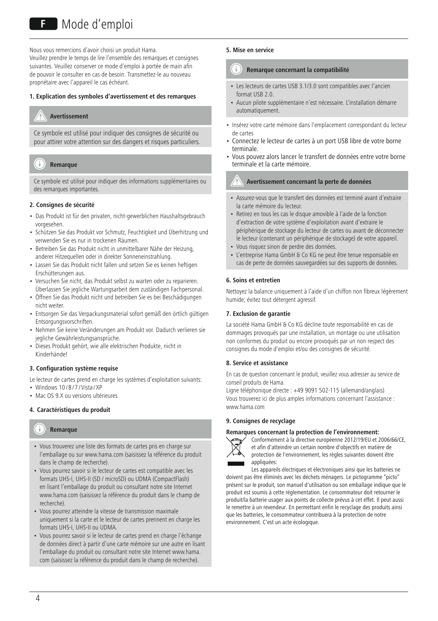# F Mode d'emploi

Nous vous remercions d'avoir choisi un produit Hama. Veuillez prendre le temps de lire l'ensemble des remarques et consignes suivantes. Veuillez conserver ce mode d'emploi à portée de main afin de pouvoir le consulter en cas de besoin. Transmettez-le au nouveau propriétaire avec l'appareil le cas échéant.

#### **1. Explication des symboles d'avertissement et des remarques**

# **Avertissement**

Ce symbole est utilisé pour indiquer des consignes de sécurité ou pour attirer votre attention sur des dangers et risques particuliers.

#### Ŧ **Remarque**

Ce symbole est utilisé pour indiquer des informations supplémentaires ou des remarques importantes.

### **2. Consignes de sécurité**

- Das Produkt ist für den privaten, nicht-gewerblichen Haushaltsgebrauch vorgesehen.
- Schützen Sie das Produkt vor Schmutz, Feuchtigkeit und Überhitzung und verwenden Sie es nur in trockenen Räumen.
- Betreiben Sie das Produkt nicht in unmittelbarer Nähe der Heizung, anderer Hitzequellen oder in direkter Sonneneinstrahlung.
- Lassen Sie das Produkt nicht fallen und setzen Sie es keinen heftigen Erschütterungen aus.
- Versuchen Sie nicht, das Produkt selbst zu warten oder zu reparieren. Überlassen Sie jegliche Wartungsarbeit dem zuständigen Fachpersonal.
- Öffnen Sie das Produkt nicht und betreiben Sie es bei Beschädigungen nicht weiter.
- Entsorgen Sie das Verpackungsmaterial sofort gemäß den örtlich gültigen Entsorgungsvorschriften.
- Nehmen Sie keine Veränderungen am Produkt vor. Dadurch verlieren sie jegliche Gewährleistungsansprüche.
- Dieses Produkt gehört, wie alle elektrischen Produkte, nicht in Kinderhände!

### **3. Configuration système requise**

Le lecteur de cartes prend en charge les systèmes d'exploitation suivants:

- Windows 10/8/7/Vista/XP
- Mac OS 9.X ou versions ultérieures

## **4. Caractéristiques du produit**

#### Ŧ **Remarque**

- Vous trouverez une liste des formats de cartes pris en charge sur l'emballage ou sur www.hama.com (saisissez la référence du produit dans le champ de recherche).
- Vous pourrez savoir si le lecteur de cartes est compatible avec les formats UHS-I, UHS-II (SD / microSD) ou UDMA (CompactFlash) en lisant l'emballage du produit ou consultant notre site Internet www.hama.com (saisissez la référence du produit dans le champ de recherche).
- Vous pourrez atteindre la vitesse de transmission maximale uniquement si la carte et le lecteur de cartes prennent en charge les formats UHS-I, UHS-II ou UDMA.
- Vous pourrez savoir si le lecteur de cartes prend en charge l'échange de données direct à partir d'une carte mémoire sur une autre en lisant l'emballage du produit ou consultant notre site Internet www.hama. com (saisissez la référence du produit dans le champ de recherche).

#### **5. Mise en service**

#### T **Remarque concernant la compatibilité**

- Les lecteurs de cartes USB 3.1/3.0 sont compatibles avec l'ancien format USB 2.0.
- Aucun pilote supplémentaire n'est nécessaire. L'installation démarre automatiquement.
- Insérez votre carte mémoire dans l'emplacement correspondant du lecteur de cartes
- Connectez le lecteur de cartes à un port USB libre de votre borne terminale.
- Vous pouvez alors lancer le transfert de données entre votre borne terminale et la carte mémoire.

# **Avertissement concernant la perte de données**

- Assurez-vous que le transfert des données est terminé avant d'extraire la carte mémoire du lecteur.
- Retirez en tous les cas le disque amovible à l'aide de la fonction d'extraction de votre système d'exploitation avant d'extraire le périphérique de stockage du lecteur de cartes ou avant de déconnecter le lecteur (contenant un périphérique de stockage) de votre appareil.
- Vous risquez sinon de perdre des données.
- L'entreprise Hama GmbH & Co KG ne peut être tenue responsable en cas de perte de données sauvegardées sur des supports de données.

## **6. Soins et entretien**

Nettoyez la balance uniquement à l'aide d'un chiffon non fibreux légèrement humide; évitez tout détergent agressif.

#### **7. Exclusion de garantie**

La société Hama GmbH & Co KG décline toute responsabilité en cas de dommages provoqués par une installation, un montage ou une utilisation non conformes du produit ou encore provoqués par un non respect des consignes du mode d'emploi et/ou des consignes de sécurité.

#### **8. Service et assistance**

En cas de question concernant le produit, veuillez vous adresser au service de conseil produits de Hama.

Ligne téléphonique directe : +49 9091 502-115 (allemand/anglais) Vous trouverez ici de plus amples informations concernant l'assistance : www.hama.com

# **9. Consignes de recyclage**

#### **Remarques concernant la protection de l'environnement:**



Conformément à la directive européenne 2012/19/EU et 2006/66/CE, et afin d'atteindre un certain nombre d'objectifs en matière de protection de l'environnement, les règles suivantes doivent être appliquées:

Les appareils électriques et électroniques ainsi que les batteries ne doivent pas être éliminés avec les déchets ménagers. Le pictogramme "picto" présent sur le produit, son manuel d'utilisation ou son emballage indique que le produit est soumis à cette réglementation. Le consommateur doit retourner le produit/la batterie usager aux points de collecte prévus à cet effet. Il peut aussi le remettre à un revendeur. En permettant enfin le recyclage des produits ainsi que les batteries, le consommateur contribuera à la protection de notre environnement. C'est un acte écologique.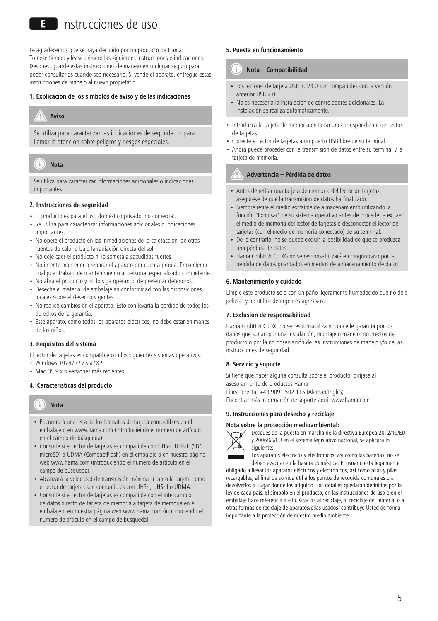# E Instrucciones de uso

Le agradecemos que se haya decidido por un producto de Hama. Tómese tiempo y léase primero las siguientes instrucciones e indicaciones. Después, guarde estas instrucciones de manejo en un lugar seguro para poder consultarlas cuando sea necesario. Si vende el aparato, entregue estas instrucciones de manejo al nuevo propietario.

#### **1. Explicación de los símbolos de aviso y de las indicaciones**

# **Aviso**

Se utiliza para caracterizar las indicaciones de seguridad o para llamar la atención sobre peligros y riesgos especiales.

#### T **Nota**

Se utiliza para caracterizar informaciones adicionales o indicaciones importantes.

#### **2. Instrucciones de seguridad**

- El producto es para el uso doméstico privado, no comercial.
- Se utiliza para caracterizar informaciones adicionales o indicaciones importantes.
- No opere el producto en las inmediaciones de la calefacción, de otras fuentes de calor o bajo la radiación directa del sol.
- No deje caer el producto ni lo someta a sacudidas fuertes.
- No intente mantener o reparar el aparato por cuenta propia. Encomiende cualquier trabajo de mantenimiento al personal especializado competente.
- No abra el producto y no lo siga operando de presentar deterioros.
- Deseche el material de embalaje en conformidad con las disposiciones locales sobre el desecho vigentes.
- No realice cambios en el aparato. Esto conllevaría la pérdida de todos los derechos de la garantía.
- Este aparato, como todos los aparatos eléctricos, no debe estar en manos de los niños.

#### **3. Requisitos del sistema**

El lector de tarjetas es compatible con los siguientes sistemas operativos:

- $\cdot$  Windows 10/8/7/Vista/XP
- Mac OS 9.x o versiones más recientes

### **4. Características del producto**

#### T **Nota**

- Encontrará una lista de los formatos de tarjeta compatibles en el embalaje o en www.hama.com (introduciendo el número de artículo en el campo de búsqueda).
- Consulte si el lector de tarjetas es compatible con UHS-I, UHS-II (SD/ microSD) o UDMA (CompactFlash) en el embalaje o en nuestra página web www.hama.com (introduciendo el número de artículo en el campo de búsqueda).
- Alcanzará la velocidad de transmisión máxima si tanto la tarjeta como el lector de tarjetas son compatibles con UHS-I, UHS-II o UDMA.
- Consulte si el lector de tarjetas es compatible con el intercambio de datos directo de tarjeta de memoria a tarjeta de memoria en el embalaje o en nuestra página web www.hama.com (introduciendo el número de artículo en el campo de búsqueda).

#### **5. Puesta en funcionamiento**

#### G **Nota – Compatibilidad**

- Los lectores de tarjeta USB 3.1/3.0 son compatibles con la versión anterior USB 2.0.
- No es necesaria la instalación de controladores adicionales. La instalación se realiza automáticamente.
- Introduzca la tarjeta de memoria en la ranura correspondiente del lector de tarjetas.
- Conecte el lector de tarjetas a un puerto USB libre de su terminal.
- Ahora puede proceder con la transmisión de datos entre su terminal y la tarjeta de memoria.

## **Advertencia – Pérdida de datos**

- Antes de retirar una tarjeta de memoria del lector de tarjetas, asegúrese de que la transmisión de datos ha finalizado.
- Siempre retire el medio extraíble de almacenamiento utilizando la función "Expulsar" de su sistema operativo antes de proceder a extraer el medio de memoria del lector de tarjetas o desconectar el lector de tarjetas (con el medio de memoria conectado) de su terminal.
- De lo contrario, no se puede excluir la posibilidad de que se produzca una pérdida de datos.
- Hama GmbH & Co KG no se responsabilizará en ningún caso por la pérdida de datos guardados en medios de almacenamiento de datos.

#### **6. Mantenimiento y cuidado**

Limpie este producto sólo con un paño ligeramente humedecido que no deje pelusas y no utilice detergentes agresivos.

# **7. Exclusión de responsabilidad**

Hama GmbH & Co KG no se responsabiliza ni concede garantía por los daños que surjan por una instalación, montaje o manejo incorrectos del producto o por la no observación de las instrucciones de manejo y/o de las instrucciones de seguridad.

#### **8. Servicio y soporte**

Si tiene que hacer alguna consulta sobre el producto, diríjase al asesoramiento de productos Hama. Línea directa: +49 9091 502-115 (Alemán/Inglés) Encontrar más información de soporte aquí: www.hama.com

# **9. Instrucciones para desecho y reciclaje**



Después de la puesta en marcha de la directiva Europea 2012/19/EU y 2006/66/EU en el sistema legislativo nacional, se aplicara lo siguiente:

Los aparatos eléctricos y electrónicos, así como las baterías, no se deben evacuar en la basura doméstica. El usuario está legalmente obligado a llevar los aparatos eléctricos y electrónicos, así como pilas y pilas

recargables, al final de su vida útil a los puntos de recogida comunales o a devolverlos al lugar donde los adquirió. Los detalles quedaran definidos por la ley de cada país. El símbolo en el producto, en las instrucciones de uso o en el embalaje hace referencia a ello. Gracias al reciclaje, al reciclaje del material o a otras formas de reciclaje de aparatos/pilas usados, contribuye Usted de forma importante a la protección de nuestro medio ambiente.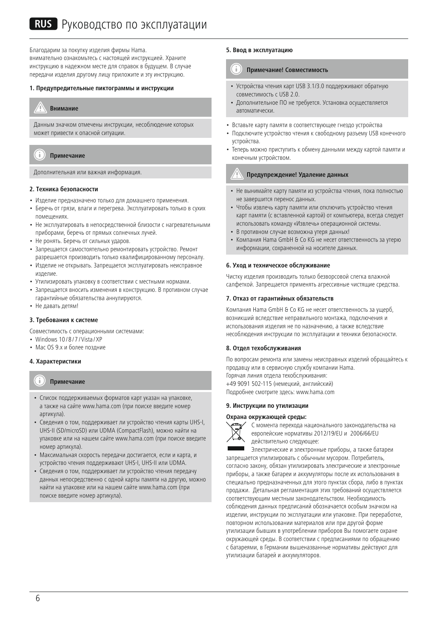Благодарим за покупку изделия фирмы Hama. внимательно ознакомьтесь с настоящей инструкцией. Храните инструкцию в надежном месте для справок в будущем. В случае передачи изделия другому лицу приложите и эту инструкцию.

#### **1. Предупредительные пиктограммы и инструкции**



Данным значком отмечены инструкции, несоблюдение которых может привести к опасной ситуации.

#### Ŧ **Примечание**

Дополнительная или важная информация.

### **2. Техника безопасности**

- Изделие предназначено только для домашнего применения.
- Беречь от грязи, влаги и перегрева. Эксплуатировать только в сухих помещениях.
- Не эксплуатировать в непосредственной близости с нагревательными приборами, беречь от прямых солнечных лучей.
- Не ронять. Беречь от сильных ударов.
- Запрещается самостоятельно ремонтировать устройство. Ремонт разрешается производить только квалифицированному персоналу.
- Изделие не открывать. Запрещается эксплуатировать неисправное изделие.
- Утилизировать упаковку в соответствии с местными нормами.
- Запрещается вносить изменения в конструкцию. В противном случае гарантийные обязательства аннулируются.
- Не давать детям!

#### **3. Требования к системе**

Совместимость с операционными системами:

- Windows 10/8/7/Vista/XP
- Mac OS 9.x и более поздние

#### **4. Характеристики**

#### Ð **Примечание**

- Список поддерживаемых форматов карт указан на упаковке, а также на сайте www.hama.com (при поиске введите номер артикула).
- Сведения о том, поддерживает ли устройство чтения карты UHS-I, UHS-II (SD/microSD) или UDMA (CompactFlash), можно найти на упаковке или на нашем сайте www.hama.com (при поиске введите номер артикула).
- Максимальная скорость передачи достигается, если и карта, и устройство чтения поддерживают UHS-I, UHS-II или UDMA.
- Сведения о том, поддерживает ли устройство чтения передачу данных непосредственно с одной карты памяти на другую, можно найти на упаковке или на нашем сайте www.hama.com (при поиске введите номер артикула).

#### **5. Ввод в эксплуатацию**

#### T **Примечание! Совместимость**

- Устройства чтения карт USB 3.1/3.0 поддерживают обратную совместимость с USB 2.0.
- Дополнительное ПО не требуется. Установка осуществляется автоматически.
- Вставьте карту памяти в соответствующее гнездо устройства
- Подключите устройство чтения к свободному разъему USB конечного устройства.
- Теперь можно приступить к обмену данными между картой памяти и конечным устройством.

#### **Предупреждение! Удаление данных**

- Не вынимайте карту памяти из устройства чтения, пока полностью не завершится перенос данных.
- Чтобы извлечь карту памяти или отключить устройство чтения карт памяти (с вставленной картой) от компьютера, всегда следует использовать команду «Извлечь» операционной системы.
- В противном случае возможна утеря данных!
- Компания Hama GmbH & Co KG не несет ответственность за утерю информации, сохраненной на носителе данных.

#### **6. Уход и техническое обслуживание**

Чистку изделия производить только безворсовой слегка влажной салфеткой. Запрещается применять агрессивные чистящие средства.

#### **7. Отказ от гарантийных обязательств**

Компания Hama GmbH & Co KG не несет ответственность за ущерб, возникший вследствие неправильного монтажа, подключения и использования изделия не по назначению, а также вследствие несоблюдения инструкции по эксплуатации и техники безопасности.

#### **8. Отдел техобслуживания**

По вопросам ремонта или замены неисправных изделий обращайтесь к продавцу или в сервисную службу компании Hama. Горячая линия отдела техобслуживания:

+49 9091 502-115 (немецкий, английский)

Подробнее смотрите здесь: www.hama.com

#### **9. Инструкции по утилизации**

#### **Охрана окружающей среды:**



С момента перехода национального законодательства на европейские нормативы 2012/19/EU и 2006/66/EU действительно следующее:

Электрические и электронные приборы, а также батареи запрещается утилизировать с обычным мусором. Потребитель, согласно закону, обязан утилизировать электрические и электронные приборы, а также батареи и аккумуляторы после их использования в специально предназначенных для этого пунктах сбора, либо в пунктах продажи. Детальная регламентация этих требований осуществляется соответствующим местным законодательством. Необходимость соблюдения данных предписаний обозначается особым значком на изделии, инструкции по эксплуатации или упаковке. При переработке, повторном использовании материалов или при другой форме утилизации бывших в употреблении приборов Вы помогаете охране окружающей среды. В соответствии с предписаниями по обращению с батареями, в Германии вышеназванные нормативы действуют для утилизации батарей и аккумуляторов.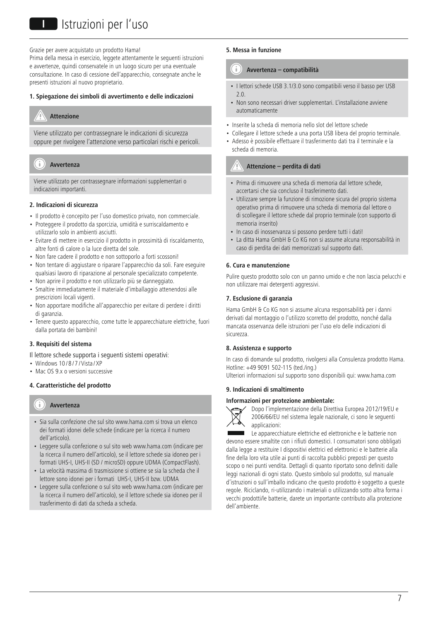# I**I**II Istruzioni per l'uso

Grazie per avere acquistato un prodotto Hama!

Prima della messa in esercizio, leggete attentamente le seguenti istruzioni e avvertenze, quindi conservatele in un luogo sicuro per una eventuale consultazione. In caso di cessione dell'apparecchio, consegnate anche le presenti istruzioni al nuovo proprietario.

# **1. Spiegazione dei simboli di avvertimento e delle indicazioni**

# **Attenzione**

Viene utilizzato per contrassegnare le indicazioni di sicurezza oppure per rivolgere l'attenzione verso particolari rischi e pericoli.

#### -21 **Avvertenza**

Viene utilizzato per contrassegnare informazioni supplementari o indicazioni importanti.

### **2. Indicazioni di sicurezza**

- Il prodotto è concepito per l'uso domestico privato, non commerciale.
- Proteggere il prodotto da sporcizia, umidità e surriscaldamento e utilizzarlo solo in ambienti asciutti.
- Evitare di mettere in esercizio il prodotto in prossimità di riscaldamento, altre fonti di calore o la luce diretta del sole.
- Non fare cadere il prodotto e non sottoporlo a forti scossoni!
- Non tentare di aggiustare o riparare l'apparecchio da soli. Fare eseguire qualsiasi lavoro di riparazione al personale specializzato competente.
- Non aprire il prodotto e non utilizzarlo più se danneggiato.
- Smaltire immediatamente il materiale d'imballaggio attenendosi alle prescrizioni locali vigenti.
- Non apportare modifiche all'apparecchio per evitare di perdere i diritti di garanzia.
- Tenere questo apparecchio, come tutte le apparecchiature elettriche, fuori dalla portata dei bambini!

### **3. Requisiti del sistema**

Il lettore schede supporta i seguenti sistemi operativi:

- Windows  $10/8/7$  / Vista / XP
- Mac OS 9.x o versioni successive

# **4. Caratteristiche del prodotto**

#### T **Avvertenza**

- Sia sulla confezione che sul sito www.hama.com si trova un elenco dei formati idonei delle schede (indicare per la ricerca il numero dell'articolo).
- Leggere sulla confezione o sul sito web www.hama.com (indicare per la ricerca il numero dell'articolo), se il lettore schede sia idoneo per i formati UHS-I, UHS-II (SD / microSD) oppure UDMA (CompactFlash).
- La velocità massima di trasmissione si ottiene se sia la scheda che il lettore sono idonei per i formati UHS-I, UHS-II bzw. UDMA
- Leggere sulla confezione o sul sito web www.hama.com (indicare per la ricerca il numero dell'articolo), se il lettore schede sia idoneo per il trasferimento di dati da scheda a scheda.

#### **5. Messa in funzione**

#### าา **Avvertenza – compatibilità**

- I lettori schede USB 3.1/3.0 sono compatibili verso il basso per USB 2.0.
- Non sono necessari driver supplementari. L'installazione avviene automaticamente
- Inserite la scheda di memoria nello slot del lettore schede
- Collegare il lettore schede a una porta USB libera del proprio terminale.
- Adesso è possibile effettuare il trasferimento dati tra il terminale e la scheda di memoria.

# **Attenzione – perdita di dati**

- Prima di rimuovere una scheda di memoria dal lettore schede, accertarsi che sia concluso il trasferimento dati.
- Utilizzare sempre la funzione di rimozione sicura del proprio sistema operativo prima di rimuovere una scheda di memoria dal lettore o di scollegare il lettore schede dal proprio terminale (con supporto di memoria inserito)
- In caso di inosservanza si possono perdere tutti i dati!
- La ditta Hama GmbH & Co KG non si assume alcuna responsabilità in caso di perdita dei dati memorizzati sul supporto dati.

#### **6. Cura e manutenzione**

Pulire questo prodotto solo con un panno umido e che non lascia pelucchi e non utilizzare mai detergenti aggressivi.

#### **7. Esclusione di garanzia**

Hama GmbH & Co KG non si assume alcuna responsabilità per i danni derivati dal montaggio o l'utilizzo scorretto del prodotto, nonché dalla mancata osservanza delle istruzioni per l'uso e/o delle indicazioni di sicurezza.

### **8. Assistenza e supporto**

In caso di domande sul prodotto, rivolgersi alla Consulenza prodotto Hama. Hotline: +49 9091 502-115 (ted./ing.) Ulteriori informazioni sul supporto sono disponibili qui: www.hama.com

#### **9. Indicazioni di smaltimento**

#### **Informazioni per protezione ambientale:**



Dopo l'implementazione della Direttiva Europea 2012/19/EU e 2006/66/EU nel sistema legale nazionale, ci sono le seguenti applicazioni:

Le apparecchiature elettriche ed elettroniche e le batterie non devono essere smaltite con i rifiuti domestici. I consumatori sono obbligati dalla legge a restituire I dispositivi elettrici ed elettronici e le batterie alla fine della loro vita utile ai punti di raccolta pubblici preposti per questo scopo o nei punti vendita. Dettagli di quanto riportato sono definiti dalle leggi nazionali di ogni stato. Questo simbolo sul prodotto, sul manuale d'istruzioni o sull'imballo indicano che questo prodotto è soggetto a queste regole. Riciclando, ri-utilizzando i materiali o utilizzando sotto altra forma i vecchi prodotti/le batterie, darete un importante contributo alla protezione dell'ambiente.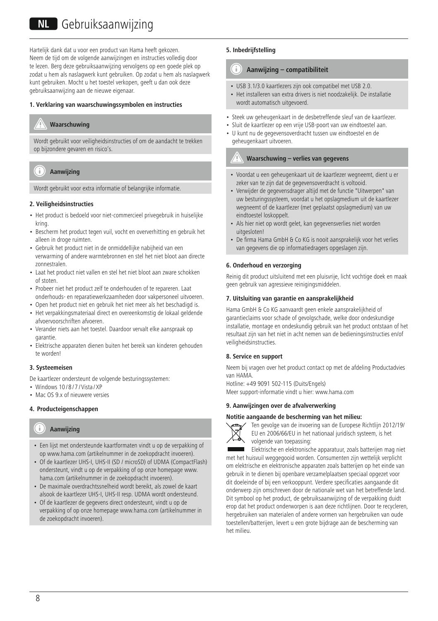# NL Gebruiksaanwijzing

Hartelijk dank dat u voor een product van Hama heeft gekozen. Neem de tijd om de volgende aanwijzingen en instructies volledig door te lezen. Berg deze gebruiksaanwijzing vervolgens op een goede plek op zodat u hem als naslagwerk kunt gebruiken. Op zodat u hem als naslagwerk kunt gebruiken. Mocht u het toestel verkopen, geeft u dan ook deze gebruiksaanwijzing aan de nieuwe eigenaar.

## **1. Verklaring van waarschuwingssymbolen en instructies**

# **Waarschuwing**

Wordt gebruikt voor veiligheidsinstructies of om de aandacht te trekken op bijzondere gevaren en risico's.

#### Ŧ **Aanwijzing**

Wordt gebruikt voor extra informatie of belangrijke informatie.

### **2. Veiligheidsinstructies**

- Het product is bedoeld voor niet-commercieel privegebruik in huiselijke kring.
- Bescherm het product tegen vuil, vocht en oververhitting en gebruik het alleen in droge ruimten.
- Gebruik het product niet in de onmiddellijke nabijheid van een verwarming of andere warmtebronnen en stel het niet bloot aan directe zonnestralen.
- Laat het product niet vallen en stel het niet bloot aan zware schokken of stoten.
- Probeer niet het product zelf te onderhouden of te repareren. Laat onderhouds- en reparatiewerkzaamheden door vakpersoneel uitvoeren.
- Open het product niet en gebruik het niet meer als het beschadigd is.
- Het verpakkingsmateriaal direct en overeenkomstig de lokaal geldende afvoervoorschriften afvoeren.
- Verander niets aan het toestel. Daardoor vervalt elke aanspraak op garantie.
- Elektrische apparaten dienen buiten het bereik van kinderen gehouden te worden!

### **3. Systeemeisen**

De kaartlezer ondersteunt de volgende besturingssystemen:

- Windows 10/8/7/Vista/XP
- Mac OS 9.x of nieuwere versies

# **4. Producteigenschappen**

#### Ŧ **Aanwijzing**

- Een lijst met ondersteunde kaartformaten vindt u op de verpakking of op www.hama.com (artikelnummer in de zoekopdracht invoeren).
- Of de kaartlezer UHS-I, UHS-II (SD / microSD) of UDMA (CompactFlash) ondersteunt, vindt u op de verpakking of op onze homepage www. hama.com (artikelnummer in de zoekopdracht invoeren).
- De maximale overdrachtssnelheid wordt bereikt, als zowel de kaart alsook de kaartlezer UHS-I, UHS-II resp. UDMA wordt ondersteund.
- Of de kaartlezer de gegevens direct ondersteunt, vindt u op de verpakking of op onze homepage www.hama.com (artikelnummer in de zoekopdracht invoeren).

# **5. Inbedrijfstelling**

#### G **Aanwijzing – compatibiliteit**

- USB 3.1/3.0 kaartlezers zijn ook compatibel met USB 2.0.
- Het installeren van extra drivers is niet noodzakelijk. De installatie wordt automatisch uitgevoerd.
- Steek uw geheugenkaart in de desbetreffende sleuf van de kaartlezer.
- Sluit de kaartlezer op een vrije USB-poort van uw eindtoestel aan.
- U kunt nu de gegevensoverdracht tussen uw eindtoestel en de geheugenkaart uitvoeren.

# **Waarschuwing – verlies van gegevens**

- Voordat u een geheugenkaart uit de kaartlezer wegneemt, dient u er zeker van te zijn dat de gegevensoverdracht is voltooid.
- Verwijder de gegevensdrager altijd met de functie "Uitwerpen" van uw besturingssysteem, voordat u het opslagmedium uit de kaartlezer wegneemt of de kaartlezer (met geplaatst opslagmedium) van uw eindtoestel loskoppelt.
- Als hier niet op wordt gelet, kan gegevensverlies niet worden uitgesloten!
- De firma Hama GmbH & Co KG is nooit aansprakelijk voor het verlies van gegevens die op informatiedragers opgeslagen zijn.

#### **6. Onderhoud en verzorging**

Reinig dit product uitsluitend met een pluisvrije, licht vochtige doek en maak geen gebruik van agressieve reinigingsmiddelen.

#### **7. Uitsluiting van garantie en aansprakelijkheid**

Hama GmbH & Co KG aanvaardt geen enkele aansprakelijkheid of garantieclaims voor schade of gevolgschade, welke door ondeskundige installatie, montage en ondeskundig gebruik van het product ontstaan of het resultaat zijn van het niet in acht nemen van de bedieningsinstructies en/of veiligheidsinstructies.

### **8. Service en support**

Neem bij vragen over het product contact op met de afdeling Productadvies van HAMA.

Hotline: +49 9091 502-115 (Duits/Engels) Meer support-informatie vindt u hier: www.hama.com

#### **9. Aanwijzingen over de afvalverwerking**

#### **Notitie aangaande de bescherming van het milieu:**



Ten gevolge van de invoering van de Europese Richtlijn 2012/19/ EU en 2006/66/EU in het nationaal juridisch systeem, is het volgende van toepassing:

Elektrische en elektronische apparatuur, zoals batterijen mag niet met het huisvuil weggegooid worden. Consumenten zijn wettelijk verplicht om elektrische en elektronische apparaten zoals batterijen op het einde van gebruik in te dienen bij openbare verzamelplaatsen speciaal opgezet voor dit doeleinde of bij een verkooppunt. Verdere specificaties aangaande dit onderwerp zijn omschreven door de nationale wet van het betreffende land. Dit symbool op het product, de gebruiksaanwijzing of de verpakking duidt erop dat het product onderworpen is aan deze richtlijnen. Door te recycleren, hergebruiken van materialen of andere vormen van hergebruiken van oude toestellen/batterijen, levert u een grote bijdrage aan de bescherming van het milieu.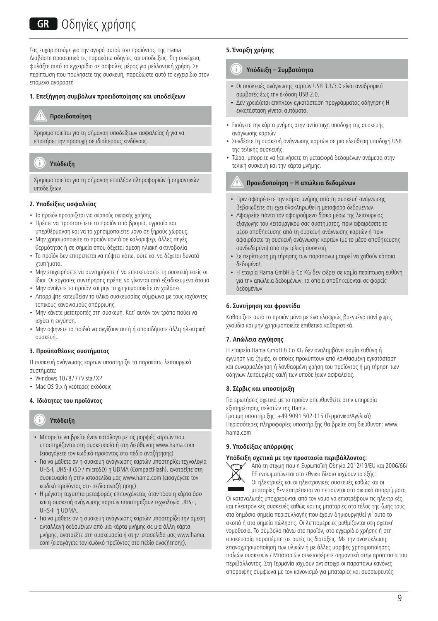# **GR** Οδηνίες χρήσης

Σας ευχαριστούμε για την αγορά αυτού του προϊόντος. της Hama! Διαβάστε προσεκτικά τις παρακάτω οδηγίες και υποδείξεις. Στη συνέχεια, φυλάξτε αυτό το εγχειρίδιο σε ασφαλές μέρος για μελλοντική χρήση. Σε περίπτωση που πουλήσετε της συσκευή, παραδώστε αυτό το εγχειρίδιο στον επόμενο αγοραστή

# **1. Επεξήγηση συμβόλων προειδοποίησης και υποδείξεων**

# **Προειδοποίηση**

Χρησιμοποιείται για τη σήμανση υποδείξεων ασφαλείας ή για να επιστήσει την προσοχή σε ιδιαίτερους κινδύνους.

# **Υπόδειξη**

Χρησιμοποιείται για τη σήμανση επιπλέον πληροφοριών ή σημαντικών υποδείξεων.

# **2. Υποδείξεις ασφαλείας**

- Το προϊόν προορίζεται για σκοπούς οικιακής χρήσης.
- Πρέπει να προστατεύετε το προϊόν από βρομιά, υγρασία και υπερθέρμανση και να το χρησιμοποιείτε μόνο σε ξηρούς χώρους.
- Μην χρησιμοποιείτε το προϊόν κοντά σε καλοριφέρ, άλλες πηγές θερμότητας ή σε σημεία όπου δέχεται άμεση ηλιακή ακτινοβολία
- Το προϊόν δεν επιτρέπεται να πέφτει κάτω, ούτε και να δέχεται δυνατά χτυπήματα.
- Μην επιχειρήσετε να συντηρήσετε ή να επισκευάσετε τη συσκευή εσείς οι ίδιοι. Οι εργασίες συντήρησης πρέπει να γίνονται από εξειδικευμένα άτομα.
- Μην ανοίγετε το προϊόν και μην το χρησιμοποιείτε αν χαλάσει.
- Απορρίψτε κατευθείαν το υλικό συσκευασίας σύμφωνα με τους ισχύοντες τοπικούς κανονισμούς απόρριψης.
- Μην κάνετε μετατροπές στη συσκευή. Κατ' αυτόν τον τρόπο παύει να ισχύει η εγγύηση.
- Μην αφήνετε τα παιδιά να αγγίζουν αυτή ή οποιαδήποτε άλλη ηλεκτρική συσκευή.

### **3. Προϋποθέσεις συστήματος**

Η συσκευή ανάγνωσης καρτών υποστηρίζει τα παρακάτω λειτουργικά συστήματα:

- Windows 10/8/7/Vista/XP
- Mac OS 9.x ή νεότερες εκδόσεις

# **4. Ιδιότητες του προϊόντος**

#### Ŧ **Υπόδειξη**

- Μπορείτε να βρείτε έναν κατάλογο με τις μορφές καρτών που υποστηρίζονται στη συσκευασία ή στη διεύθυνση www.hama.com (εισαγάγετε τον κωδικό προϊόντος στο πεδίο αναζήτησης).
- Για να μάθετε αν η συσκευή ανάγνωσης καρτών υποστηρίζει τεχνολογία UHS-I, UHS-II (SD / microSD) ή UDMA (CompactFlash), ανατρέξτε στη συσκευασία ή στην ιστοσελίδα μας www.hama.com (εισαγάγετε τον κωδικό προϊόντος στο πεδίο αναζήτησης).
- Η μέγιστη ταχύτητα μεταφοράς επιτυγχάνεται, όταν τόσο η κάρτα όσο και η συσκευή ανάγνωσης καρτών υποστηρίζουν τεχνολογία UHS-I, UHS-II ή UDMA.
- Για να μάθετε αν η συσκευή ανάγνωσης καρτών υποστηρίζει την άμεση ανταλλαγή δεδομένων από μια κάρτα μνήμης σε μια άλλη κάρτα μνήμης, ανατρέξτε στη συσκευασία ή στην ιστοσελίδα μας www.hama. com (εισαγάγετε τον κωδικό προϊόντος στο πεδίο αναζήτησης).

# **5. Έναρξη χρήσης**

#### Ð **Υπόδειξη – Συμβατότητα**

- Οι συσκευές ανάγνωσης καρτών USB 3.1/3.0 είναι αναδρομικά συμβατές έως την έκδοση USB 2.0.
- Δεν χρειάζεται επιπλέον εγκατάσταση προγράμματος οδήγησης Η εγκατάσταση γίνεται αυτόματα.
- Εισάγετε την κάρτα μνήμης στην αντίστοιχη υποδοχή της συσκευής ανάγνωσης καρτών
- Συνδέστε τη συσκευή ανάγνωσης καρτών σε μια ελεύθερη υποδοχή USB της τελικής συσκευής.
- Τώρα, μπορείτε να ξεκινήσετε τη μεταφορά δεδομένων ανάμεσα στην τελική συσκευή και την κάρτα μνήμης.

# **Προειδοποίηση – Η απώλεια δεδομένων**

- Πριν αφαιρέσετε την κάρτα μνήμης από τη συσκευή ανάγνωσης, βεβαιωθείτε ότι έχει ολοκληρωθεί η μεταφορά δεδομένων.
- Αφαιρείτε πάντα τον αφαιρούμενο δίσκο μέσω της λειτουργίας εξαγωγής του λειτουργικού σας συστήματος, πριν αφαιρέσετε το μέσο αποθήκευσης από τη συσκευή ανάγνωσης καρτών ή πριν αφαιρέσετε τη συσκευή ανάγνωσης καρτών (με το μέσο αποθήκευσης συνδεδεμένο) από την τελική συσκευή.
- Σε περίπτωση μη τήρησης των παραπάνω μπορεί να χαθούν κάποια δεδομένα!
- Η εταιρία Hama GmbH & Co KG δεν φέρει σε καμία περίπτωση ευθύνη για την απώλεια δεδομένων, τα οποία αποθηκεύονται σε φορείς δεδομένων.

### **6. Συντήρηση και φροντίδα**

Καθαρίζετε αυτό το προϊόν μόνο με ένα ελαφρώς βρεγμένο πανί χωρίς χνούδια και μην χρησιμοποιείτε επιθετικά καθαριστικά.

## **7. Απώλεια εγγύησης**

Η εταιρεία Hama GmbH & Co KG δεν αναλαμβάνει καμία ευθύνη ή εγγύηση για ζημιές, οι οποίες προκύπτουν από λανθασμένη εγκατάσταση και συναρμολόγηση ή λανθασμένη χρήση του προϊόντος ή μη τήρηση των οδηγιών λειτουργίας και/ή των υποδείξεων ασφαλείας.

# **8. Σέρβις και υποστήριξη**

Για ερωτήσεις σχετικά με το προϊόν απευθυνθείτε στην υπηρεσία εξυπηρέτησης πελατών της Hama.

Γραμμή υποστήριξης: +49 9091 502-115 (Γερμανικά/Αγγλικά) Περισσότερες πληροφορίες υποστήριξης θα βρείτε στη διεύθυνση: www. hama.com

### **9. Υποδείξεις απόρριψης**

## **Υπόδειξη σχετικά με την προστασία περιβάλλοντος:**



Από τη στιγμή που η Ευρωπαϊκή Οδηγία 2012/19/EU και 2006/66/ EE ενσωματώνεται στο εθνικό δίκαιο ισχύουν τα εξής: Οι ηλεκτρικές και οι ηλεκτρονικές συσκευές καθώς και οι

μπαταρίες δεν επιτρέπεται να πετιούνται στα οικιακά απορρίμματα. Οι καταναλωτές υποχρεούνται από τον νόμο να επιστρέφουν τις ηλεκτρικές

και ηλεκτρονικές συσκευές καθώς και τις μπαταρίες στο τέλος της ζωής τους στα δημόσια σημεία περισυλλογής που έχουν δημιουργηθεί γι' αυτό το σκοπό ή στα σημεία πώλησης. Οι λεπτομέρειες ρυθμίζονται στη σχετική νομοθεσία. Το σύμβολο πάνω στο προϊόν, στο εγχειρίδιο χρήσης ή στη συσκευασία παραπέμπει σε αυτές τις διατάξεις. Με την ανακύκλωση, επαναχρησιμοποίηση των υλικών ή με άλλες μορφές χρησιμοποίησης παλιών συσκευών / Μπαταριών συνεισφέρετε σημαντικά στην προστασία του περιβάλλοντος. Στη Γερμανία ισχύουν αντίστοιχα οι παραπάνω κανόνες απόρριψης σύμφωνα με τον κανονισμό για μπαταρίες και συσσωρευτές.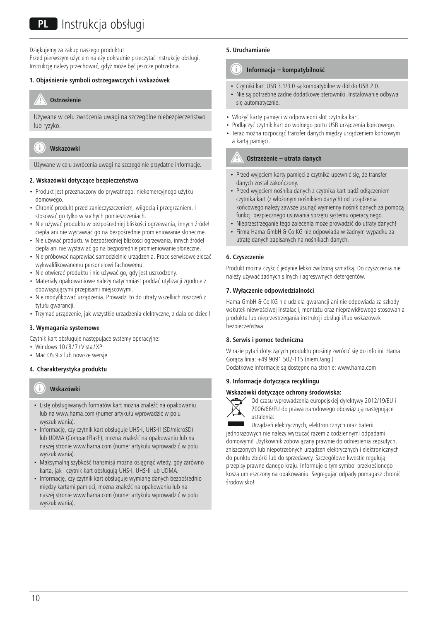Dziękujemy za zakup naszego produktu!

Przed pierwszym użyciem należy dokładnie przeczytać instrukcję obsługi. Instrukcję należy przechować, gdyż może być jeszcze potrzebna.

#### **1. Objaśnienie symboli ostrzegawczych i wskazówek**

# **Ostrzeżenie**

Używane w celu zwrócenia uwagi na szczególne niebezpieczeństwo lub ryzyko.



Używane w celu zwrócenia uwagi na szczególnie przydatne informacje.

# **2. Wskazówki dotyczące bezpieczeństwa**

- Produkt jest przeznaczony do prywatnego, niekomercyjnego użytku domowego.
- Chronić produkt przed zanieczyszczeniem, wilgocią i przegrzaniem. i stosować go tylko w suchych pomieszczeniach.
- Nie używać produktu w bezpośredniej bliskości ogrzewania, innych źródeł ciepła ani nie wystawiać go na bezpośrednie promieniowanie słoneczne.
- Nie używać produktu w bezpośredniej bliskości ogrzewania, innych źródeł ciepła ani nie wystawiać go na bezpośrednie promieniowanie słoneczne.
- Nie próbować naprawiać samodzielnie urządzenia. Prace serwisowe zlecać wykwalifikowanemu personelowi fachowemu.
- Nie otwierać produktu i nie używać go, gdy jest uszkodzony.
- Materiały opakowaniowe należy natychmiast poddać utylizacji zgodnie z obowiązującymi przepisami miejscowymi.
- Nie modyfikować urządzenia. Prowadzi to do utraty wszelkich roszczeń z tytułu gwarancji.
- Trzymać urządzenie, jak wszystkie urządzenia elektryczne, z dala od dzieci!

### **3. Wymagania systemowe**

Czytnik kart obsługuje następujące systemy operacyjne:

- Windows 10/8/7/Vista/XP
- Mac OS 9.x lub nowsze wersje

# **4. Charakterystyka produktu**

#### Ŧ **Wskazówki**

- Listę obsługiwanych formatów kart można znaleźć na opakowaniu lub na www.hama.com (numer artykułu wprowadzić w polu wyszukiwania).
- Informację, czy czytnik kart obsługuje UHS-I, UHS-II (SD/microSD) lub UDMA (CompactFlash), można znaleźć na opakowaniu lub na naszej stronie www.hama.com (numer artykułu wprowadzić w polu wyszukiwania).
- Maksymalną szybkość transmisji można osiągnąć wtedy, gdy zarówno karta, jak i czytnik kart obsługują UHS-I, UHS-II lub UDMA.
- Informację, czy czytnik kart obsługuje wymianę danych bezpośrednio między kartami pamięci, można znaleźć na opakowaniu lub na naszej stronie www.hama.com (numer artykułu wprowadzić w polu wyszukiwania).

# **5. Uruchamianie**

#### G **Informacja – kompatybilność**

- Czytniki kart USB 3.1/3.0 są kompatybilne w dół do USB 2.0.
- Nie są potrzebne żadne dodatkowe sterowniki. Instalowanie odbywa się automatycznie.
- Włożyć kartę pamięci w odpowiedni slot czytnika kart.
- Podłączyć czytnik kart do wolnego portu USB urządzenia końcowego. • Teraz można rozpocząć transfer danych między urządzeniem końcowym a kartą pamięci.

# **Ostrzeżenie – utrata danych**

- Przed wyjęciem karty pamięci z czytnika upewnić się, że transfer danych został zakończony.
- Przed wyjęciem nośnika danych z czytnika kart bądź odłączeniem czytnika kart (z włożonym nośnikiem danych) od urządzenia końcowego należy zawsze usunąć wymienny nośnik danych za pomocą funkcji bezpiecznego usuwania sprzętu systemu operacyjnego.
- Nieprzestrzeganie tego zalecenia może prowadzić do utraty danych!
- Firma Hama GmbH & Co KG nie odpowiada w żadnym wypadku za utratę danych zapisanych na nośnikach danych.

# **6. Czyszczenie**

Produkt można czyścić jedynie lekko zwilżoną szmatką. Do czyszczenia nie należy używać żadnych silnych i agresywnych detergentów.

## **7. Wyłączenie odpowiedzialności**

Hama GmbH & Co KG nie udziela gwarancji ani nie odpowiada za szkody wskutek niewłaściwej instalacji, montażu oraz nieprawidłowego stosowania produktu lub nieprzestrzegania instrukcji obsługi i/lub wskazówek bezpieczeństwa.

### **8. Serwis i pomoc techniczna**

W razie pytań dotyczących produktu prosimy zwrócić się do infolinii Hama. Gorąca linia: +49 9091 502-115 (niem./ang.)

Dodatkowe informacje są dostępne na stronie: www.hama.com

# **9. Informacje dotycząca recyklingu**

#### **Wskazówki dotyczące ochrony środowiska:**



Od czasu wprowadzenia europejskiej dyrektywy 2012/19/EU i 2006/66/EU do prawa narodowego obowiązują następujące ustalenia:

Urządzeń elektrycznych, elektronicznych oraz baterii jednorazowych nie należy wyrzucać razem z codziennymi odpadami domowymi! Użytkownik zobowiązany prawnie do odniesienia zepsutych, zniszczonych lub niepotrzebnych urządzeń elektrycznych i elektronicznych do punktu zbiórki lub do sprzedawcy. Szczegółowe kwestie regulują przepisy prawne danego kraju. Informuje o tym symbol przekreślonego kosza umieszczony na opakowaniu. Segregując odpady pomagasz chronić środowisko!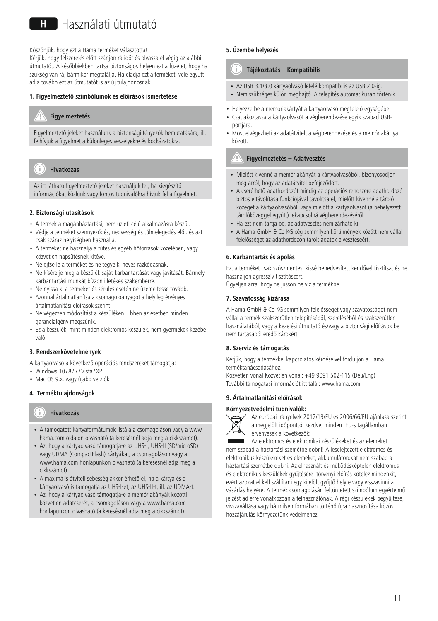Köszönjük, hogy ezt a Hama terméket választotta! Kérjük, hogy felszerelés előtt szánjon rá időt és olvassa el végig az alábbi útmutatót. A későbbiekben tartsa biztonságos helyen ezt a füzetet, hogy ha szükség van rá, bármikor megtalálja. Ha eladja ezt a terméket, vele együtt adja tovább ezt az útmutatót is az új tulajdonosnak.

#### **1. Figyelmeztető szimbólumok és előírások ismertetése**

# **Figyelmeztetés**

Figyelmeztető jeleket használunk a biztonsági tényezők bemutatására, ill. felhívjuk a figyelmet a különleges veszélyekre és kockázatokra.

#### Ŧ **Hivatkozás**

Az itt látható figyelmeztető jeleket használjuk fel, ha kiegészítő információkat közlünk vagy fontos tudnivalókra hívjuk fel a figyelmet.

#### **2. Biztonsági utasítások**

- A termék a magánháztartási, nem üzleti célú alkalmazásra készül.
- Védje a terméket szennyeződés, nedvesség és túlmelegedés elől. és azt csak száraz helyiségben használja.
- A terméket ne használja a fűtés és egyéb hőforrások közelében, vagy közvetlen napsütésnek kitéve.
- Ne ejtse le a terméket és ne tegye ki heves rázkódásnak.
- Ne kísérelje meg a készülék saját karbantartását vagy javítását. Bármely karbantartási munkát bízzon illetékes szakemberre.
- Ne nyissa ki a terméket és sérülés esetén ne üzemeltesse tovább.
- Azonnal ártalmatlanítsa a csomagolóanyagot a helyileg érvényes ártalmatlanítási előírások szerint.
- Ne végezzen módosítást a készüléken. Ebben az esetben minden garanciaigény megszűnik.
- Ez a készülék, mint minden elektromos készülék, nem gyermekek kezébe való!

### **3. Rendszerkövetelmények**

- A kártyaolvasó a következő operációs rendszereket támogatja:
- Windows 10/8/7/Vista/XP
- Mac OS 9.x, vagy újabb verziók

# **4. Terméktulajdonságok**

#### Ŧ **Hivatkozás**

- A támogatott kártyaformátumok listája a csomagoláson vagy a www. hama.com oldalon olvasható (a keresésnél adja meg a cikkszámot).
- Az, hogy a kártyaolvasó támogatja-e az UHS-I, UHS-II (SD/microSD) vagy UDMA (CompactFlash) kártyákat, a csomagoláson vagy a www.hama.com honlapunkon olvasható (a keresésnél adja meg a cikkszámot).
- A maximális átviteli sebesség akkor érhető el, ha a kártya és a kártyaolvasó is támogatja az UHS-I-et, az UHS-II-t, ill. az UDMA-t.
- Az, hogy a kártyaolvasó támogatja-e a memóriakártyák közötti közvetlen adatcserét, a csomagoláson vagy a www.hama.com honlapunkon olvasható (a keresésnél adja meg a cikkszámot).

# **5. Üzembe helyezés**

#### 61 **Tájékoztatás – Kompatibilis**

- Az USB 3.1/3.0 kártyaolvasó lefelé kompatibilis az USB 2.0-ig.
- Nem szükséges külön meghajtó. A telepítés automatikusan történik.
- Helyezze be a memóriakártyát a kártyaolvasó megfelelő egységébe
- Csatlakoztassa a kártyaolvasót a végberendezése egyik szabad USBportjára.
- Most elvégezheti az adatátvitelt a végberendezése és a memóriakártya között.

# **Figyelmeztetés – Adatvesztés**

- Mielőtt kivenné a memóriakártyát a kártyaolvasóból, bizonyosodjon meg arról, hogy az adatátvitel befejeződött.
- A cserélhető adathordozót mindig az operációs rendszere adathordozó biztos eltávolítása funkciójával távolítsa el, mielőtt kivenné a tároló közeget a kártyaolvasóból, vagy mielőtt a kártyaolvasót (a behelyezett tárolóközeggel együtt) lekapcsolná végberendezéséről.
- Ha ezt nem tartja be, az adatvesztés nem zárható ki!
- A Hama GmbH & Co KG cég semmilyen körülmények között nem vállal felelősséget az adathordozón tárolt adatok elvesztéséért.

# **6. Karbantartás és ápolás**

Ezt a terméket csak szöszmentes, kissé benedvesített kendővel tisztítsa, és ne használjon agresszív tisztítószert.

Ügyeljen arra, hogy ne jusson be víz a termékbe.

#### **7. Szavatosság kizárása**

A Hama GmbH & Co KG semmilyen felelősséget vagy szavatosságot nem vállal a termék szakszerűtlen telepítéséből, szereléséből és szakszerűtlen használatából, vagy a kezelési útmutató és/vagy a biztonsági előírások be nem tartásából eredő károkért.

### **8. Szerviz és támogatás**

Kérjük, hogy a termékkel kapcsolatos kérdéseivel forduljon a Hama terméktanácsadásához. Közvetlen vonal Közvetlen vonal: +49 9091 502-115 (Deu/Eng)

További támogatási információt itt talál: www.hama.com

#### **9. Ártalmatlanítási előírások**

## **Környezetvédelmi tudnivalók:**



Az európai irányelvek 2012/19/EU és 2006/66/EU ajánlása szerint, a megjelölt időponttól kezdve, minden EU-s tagállamban érvényesek a következők:

Az elektromos és elektronikai készülékeket és az elemeket nem szabad a háztartási szemétbe dobni! A leselejtezett elektromos és elektronikus készülékeket és elemeket, akkumulátorokat nem szabad a háztartási szemétbe dobni. Az elhasznált és működésképtelen elektromos és elektronikus készülékek gyűjtésére törvényi előírás kötelez mindenkit, ezért azokat el kell szállítani egy kijelölt gyűjtő helyre vagy visszavinni a vásárlás helyére. A termék csomagolásán feltüntetett szimbólum egyértelmű jelzést ad erre vonatkozóan a felhasználónak. A régi készülékek begyűjtése, visszaváltása vagy bármilyen formában történő újra hasznosítása közös hozzájárulás környezetünk védelméhez.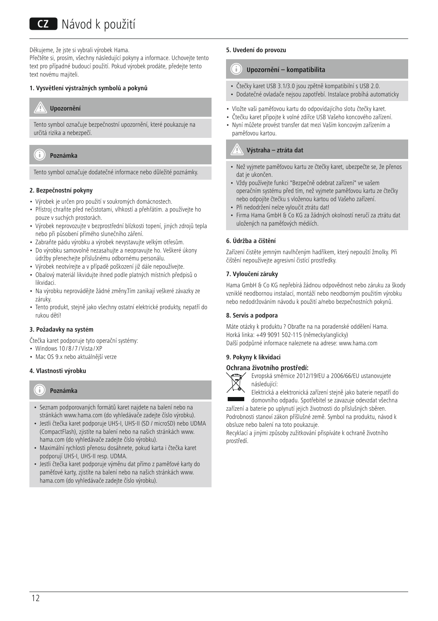Děkujeme, že jste si vybrali výrobek Hama.

Přečtěte si, prosím, všechny následující pokyny a informace. Uchovejte tento text pro případné budoucí použití. Pokud výrobek prodáte, předejte tento text novému majiteli.

# **1. Vysvětlení výstražných symbolů a pokynů**

# **Upozornění**

Tento symbol označuje bezpečnostní upozornění, které poukazuje na určitá rizika a nebezpečí.

#### Ŧ **Poznámka**

Tento symbol označuje dodatečné informace nebo důležité poznámky.

### **2. Bezpečnostní pokyny**

- Výrobek je určen pro použití v soukromých domácnostech.
- Přístroj chraňte před nečistotami, vlhkostí a přehřátím. a používejte ho pouze v suchých prostorách.
- Výrobek neprovozujte v bezprostřední blízkosti topení, jiných zdrojů tepla nebo při působení přímého slunečního záření.
- Zabraňte pádu výrobku a výrobek nevystavujte velkým otřesům.
- Do výrobku samovolně nezasahujte a neopravujte ho. Veškeré úkony údržby přenechejte příslušnému odbornému personálu.
- Výrobek neotvírejte a v případě poškození již dále nepoužívejte.
- Obalový materiál likvidujte ihned podle platných místních předpisů o likvidaci.
- Na výrobku neprovádějte žádné změny.Tím zanikají veškeré závazky ze záruky.
- Tento produkt, stejně jako všechny ostatní elektrické produkty, nepatří do rukou dětí!

# **3. Požadavky na systém**

Čtečka karet podporuje tyto operační systémy:

- Windows  $10/8/7$ /Vista $/XP$
- Mac OS 9.x nebo aktuálnější verze

# **4. Vlastnosti výrobku**

#### Ŧ **Poznámka**

- Seznam podporovaných formátů karet najdete na balení nebo na stránkách www.hama.com (do vyhledávače zadejte číslo výrobku).
- Jestli čtečka karet podporuje UHS-I, UHS-II (SD / microSD) nebo UDMA (CompactFlash), zjistíte na balení nebo na našich stránkách www. hama.com (do vyhledávače zadejte číslo výrobku).
- Maximální rychlosti přenosu dosáhnete, pokud karta i čtečka karet podporují UHS-I, UHS-II resp. UDMA.
- Jestli čtečka karet podporuje výměnu dat přímo z paměťové karty do paměťové karty, zjistíte na balení nebo na našich stránkách www. hama.com (do vyhledávače zadejte číslo výrobku).

## **5. Uvedení do provozu**

#### n **Upozornění – kompatibilita**

- Čtečky karet USB 3.1/3.0 jsou zpětně kompatibilní s USB 2.0.
- Dodatečné ovladače nejsou zapotřebí. Instalace probíhá automaticky
- Vložte vaši paměťovou kartu do odpovídajícího slotu čtečky karet.
- Čtečku karet připojte k volné zdířce USB Vašeho koncového zařízení. • Nyní můžete provést transfer dat mezi Vaším koncovým zařízením a paměťovou kartou.

# **Výstraha – ztráta dat**

- Než vyjmete paměťovou kartu ze čtečky karet, ubezpečte se, že přenos dat je ukončen.
- Vždy používejte funkci "Bezpečně odebrat zařízení" ve vašem operačním systému před tím, než vyjmete paměťovou kartu ze čtečky nebo odpojíte čtečku s vloženou kartou od Vašeho zařízení.
- Při nedodržení nelze vyloučit ztrátu dat!
- Firma Hama GmbH & Co KG za žádných okolností neručí za ztrátu dat uložených na paměťových médiích.

# **6. Údržba a čištění**

Zařízení čistěte jemným navlhčeným hadříkem, který nepouští žmolky. Při čištění nepoužívejte agresivní čistící prostředky.

### **7. Vyloučení záruky**

Hama GmbH & Co KG nepřebírá žádnou odpovědnost nebo záruku za škody vzniklé neodbornou instalací, montáží nebo neodborným použitím výrobku nebo nedodržováním návodu k použití a/nebo bezpečnostních pokynů.

# **8. Servis a podpora**

Máte otázky k produktu ? Obraťte na na poradenské oddělení Hama. Horká linka: +49 9091 502-115 (německy/anglicky) Další podpůrné informace naleznete na adrese: www.hama.com

# **9. Pokyny k likvidaci**

# **Ochrana životního prostředí:**



Evropská směrnice 2012/19/EU a 2006/66/EU ustanovujete následující:

Elektrická a elektronická zařízení stejně jako baterie nepatří do domovního odpadu. Spotřebitel se zavazuje odevzdat všechna

zařízení a baterie po uplynutí jejich životnosti do příslušných sběren. Podrobnosti stanoví zákon příšlušné země. Symbol na produktu, návod k obsluze nebo balení na toto poukazuje.

Recyklací a jinými způsoby zužitkování přispíváte k ochraně životního prostředí.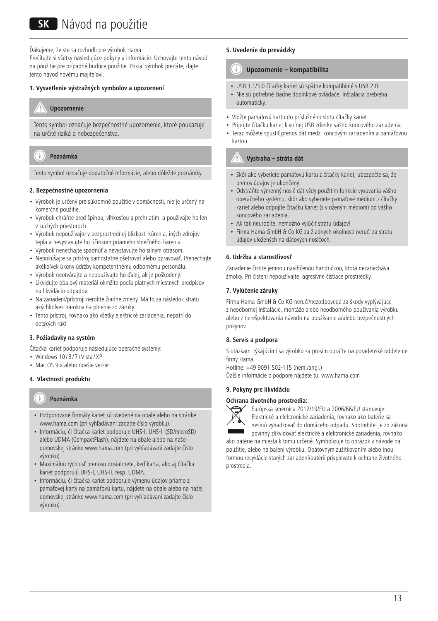# **SK** Návod na použitie

Ďakujeme, že ste sa rozhodli pre výrobok Hama.

Prečítajte si všetky nasledujúce pokyny a informácie. Uchovajte tento návod na použitie pre prípadné budúce použitie. Pokiaľ výrobok predáte, dajte tento návod novému majiteľovi.

#### **1. Vysvetlenie výstražných symbolov a upozornení**

# **Upozornenie**

Tento symbol označuje bezpečnostné upozornenie, ktoré poukazuje na určité riziká a nebezpečenstva.

#### Ŧ **Poznámka**

Tento symbol označuje dodatočné informácie, alebo dôležité poznámky.

#### **2. Bezpečnostné upozornenia**

- Výrobok je určený pre súkromné použitie v domácnosti, nie je určený na komerčné použitie.
- Výrobok chráňte pred špinou, vlhkosťou a prehriatím. a používajte ho len v suchých priestoroch
- Výrobok nepoužívajte v bezprostrednej blízkosti kúrenia, iných zdrojov tepla a nevystavujte ho účinkom priameho slnečného žiarenia.
- Výrobok nenechajte spadnúť a nevystavujte ho silným otrasom.
- Nepokúšajte sa prístroj samostatne ošetrovať alebo opravovať. Prenechajte akékoľvek úkony údržby kompetentnému odbornému personálu.
- Výrobok neotvárajte a nepoužívajte ho ďalej, ak je poškodený.
- Likvidujte obalový materiál okmžite podľa platných miestnych predpisov na likvidáciu odpadov.
- Na zariadení/prístroji nerobte žiadne zmeny. Má to za následok stratu akýchkoľvek nárokov na plnenie zo záruky.
- Tento prístroj, rovnako ako všetky elektrické zariadenia, nepatrí do detských rúk!

### **3. Požiadavky na systém**

Čítačka kariet podporuje nasledujúce operačné systémy:

- Windows  $10/8/7$  / Vista / XP
- Mac OS 9 x alebo novšie verzie

### **4. Vlastnosti produktu**

#### Ŧ **Poznámka**

- Podporované formáty kariet sú uvedené na obale alebo na stránke www.hama.com (pri vyhľadávaní zadajte číslo výrobku).
- Informáciu, či čítačka kariet podporuje UHS-I, UHS-II (SD/microSD) alebo UDMA (CompactFlash), nájdete na obale alebo na našej domovskej stránke www.hama.com (pri vyhľadávaní zadajte číslo výrobku).
- Maximálnu rýchlosť prenosu dosiahnete, keď karta, ako aj čítačka kariet podporujú UHS-I, UHS-II, resp. UDMA.
- Informáciu, či čítačka kariet podporuje výmenu údajov priamo z pamäťovej karty na pamäťovú kartu, nájdete na obale alebo na našej domovskej stránke www.hama.com (pri vyhľadávaní zadajte číslo výrobku).

#### **5. Uvedenie do prevádzky**

#### G **Upozornenie – kompatibilita**

- USB 3.1/3.0 čítačky kariet sú spätne kompatibilné s USB 2.0.
- Nie sú potrebné žiadne doplnkové ovládače. Inštalácia prebieha automaticky.
- Vložte pamäťovú kartu do príslušného slotu čítačky kariet
- Pripojte čítačku kariet k voľnej USB zdierke vášho koncového zariadenia. • Teraz môžete spustiť prenos dát medzi koncovým zariadením a pamäťovou

# **Výstraha – stráta dát**

kartou.

- Skôr ako vyberiete pamäťovú kartu z čítačky kariet, ubezpečte sa, že prenos údajov je ukončený.
- Odstráňte výmenný nosič dát vždy použitím funkcie vysúvania vášho operačného systému, skôr ako vyberiete pamäťové médium z čítačky kariet alebo odpojíte čítačku kariet (s vloženým médiom) od vášho koncového zariadenia.
- Ak tak neurobíte, nemožno vylúčiť stratu údajov!
- Firma Hama GmbH & Co KG za žiadnych okolností neručí za stratu údajov uložených na dátových nosičoch.

# **6. Údržba a starostlivosť**

Zariadenie čistite jemnou navlhčenou handričkou, ktorá nezanecháva žmolky. Pri čistení nepoužívajte agresívne čistiace prostriedky.

### **7. Vylúčenie záruky**

Firma Hama GmbH & Co KG neručí/nezodpovedá za škody vyplývajúce z neodbornej inštalácie, montáže alebo neodborného používania výrobku alebo z nerešpektovania návodu na používanie a/alebo bezpečnostných pokynov.

### **8. Servis a podpora**

S otázkami týkajúcimi sa výrobku sa prosím obráťte na poradenské oddelenie firmy Hama.

Hotline: +49 9091 502-115 (nem./angl.) Ďalšie informácie o podpore nájdete tu: www.hama.com

#### **9. Pokyny pre likvidáciu**

#### **Ochrana životného prostredia:**



Európska smernica 2012/19/EU a 2006/66/EU stanovuje: Elektrické a elektronické zariadenia, rovnako ako batérie sa nesmú vyhadzovať do domáceho odpadu. Spotrebiteľ je zo zákona povinný zlikvidovať elektrické a elektronické zariadenia, rovnako

ako batérie na miesta k tomu určené. Symbolizuje to obrázok v návode na použitie, alebo na balení výrobku. Opätovným zužitkovaním alebo inou formou recyklácie starých zariadení/batérií prispievate k ochrane životného prostredia.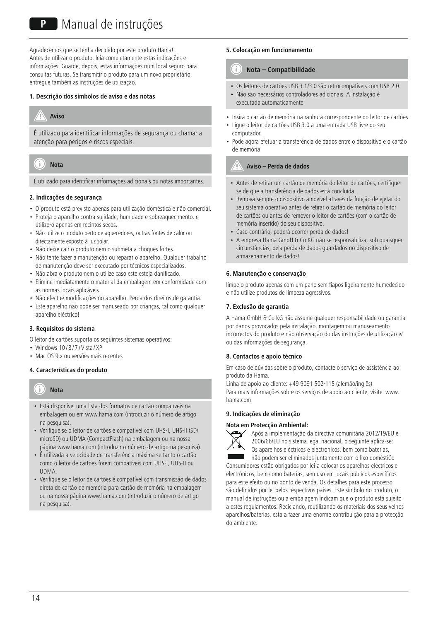# **P** Manual de instruções

Agradecemos que se tenha decidido por este produto Hama! Antes de utilizar o produto, leia completamente estas indicações e informações. Guarde, depois, estas informações num local seguro para consultas futuras. Se transmitir o produto para um novo proprietário, entregue também as instruções de utilização.

#### **1. Descrição dos símbolos de aviso e das notas**

# **Aviso**

É utilizado para identificar informações de segurança ou chamar a atenção para perigos e riscos especiais.

#### T **Nota**

É utilizado para identificar informações adicionais ou notas importantes.

### **2. Indicações de segurança**

- O produto está previsto apenas para utilização doméstica e não comercial.
- Proteja o aparelho contra sujidade, humidade e sobreaquecimento. e utilize-o apenas em recintos secos.
- Não utilize o produto perto de aquecedores, outras fontes de calor ou directamente exposto à luz solar.
- Não deixe cair o produto nem o submeta a choques fortes.
- Não tente fazer a manutenção ou reparar o aparelho. Qualquer trabalho de manutenção deve ser executado por técnicos especializados.
- Não abra o produto nem o utilize caso este esteja danificado.
- Elimine imediatamente o material da embalagem em conformidade com as normas locais aplicáveis.
- Não efectue modificações no aparelho. Perda dos direitos de garantia.
- Este aparelho não pode ser manuseado por crianças, tal como qualquer aparelho eléctrico!

### **3. Requisitos do sistema**

O leitor de cartões suporta os seguintes sistemas operativos:

- Windows  $10/8/7$  / Vista / XP
- Mac OS 9.x ou versões mais recentes

### **4. Características do produto**



- Está disponível uma lista dos formatos de cartão compatíveis na embalagem ou em www.hama.com (introduzir o número de artigo na pesquisa).
- Verifique se o leitor de cartões é compatível com UHS-I, UHS-II (SD/ microSD) ou UDMA (CompactFlash) na embalagem ou na nossa página www.hama.com (introduzir o número de artigo na pesquisa).
- É utilizada a velocidade de transferência máxima se tanto o cartão como o leitor de cartões forem compatíveis com UHS-I, UHS-II ou **UDMA**
- Verifique se o leitor de cartões é compatível com transmissão de dados direta de cartão de memória para cartão de memória na embalagem ou na nossa página www.hama.com (introduzir o número de artigo na pesquisa).

#### **5. Colocação em funcionamento**

#### าา **Nota – Compatibilidade**

- Os leitores de cartões USB 3.1/3.0 são retrocompatíveis com USB 2.0.
- Não são necessários controladores adicionais. A instalação é executada automaticamente.
- Insira o cartão de memória na ranhura correspondente do leitor de cartões
- Ligue o leitor de cartões USB 3.0 a uma entrada USB livre do seu computador.
- Pode agora efetuar a transferência de dados entre o dispositivo e o cartão de memória.

# **Aviso – Perda de dados**

- Antes de retirar um cartão de memória do leitor de cartões, certifiquese de que a transferência de dados está concluída.
- Remova sempre o dispositivo amovível através da função de ejetar do seu sistema operativo antes de retirar o cartão de memória do leitor de cartões ou antes de remover o leitor de cartões (com o cartão de memória inserido) do seu dispositivo.
- Caso contrário, poderá ocorrer perda de dados!
- A empresa Hama GmbH & Co KG não se responsabiliza, sob quaisquer circunstâncias, pela perda de dados guardados no dispositivo de armazenamento de dados!

#### **6. Manutenção e conservação**

limpe o produto apenas com um pano sem fiapos ligeiramente humedecido e não utilize produtos de limpeza agressivos.

#### **7. Exclusão de garantia**

A Hama GmbH & Co KG não assume qualquer responsabilidade ou garantia por danos provocados pela instalação, montagem ou manuseamento incorrectos do produto e não observação do das instruções de utilização e/ ou das informações de segurança.

#### **8. Contactos e apoio técnico**

Em caso de dúvidas sobre o produto, contacte o serviço de assistência ao produto da Hama.

Linha de apoio ao cliente: +49 9091 502-115 (alemão/inglês) Para mais informações sobre os serviços de apoio ao cliente, visite: www. hama.com

#### **9. Indicações de eliminação**

#### **Nota em Protecção Ambiental:**



Após a implementação da directiva comunitária 2012/19/EU e 2006/66/EU no sistema legal nacional, o seguinte aplica-se: Os aparelhos eléctricos e electrónicos, bem como baterias, não podem ser eliminados juntamente com o lixo doméstiCo

Consumidores estão obrigados por lei a colocar os aparelhos eléctricos e electrónicos, bem como baterias, sem uso em locais públicos específicos para este efeito ou no ponto de venda. Os detalhes para este processo são definidos por lei pelos respectivos países. Este símbolo no produto, o manual de instruções ou a embalagem indicam que o produto está sujeito a estes regulamentos. Reciclando, reutilizando os materiais dos seus velhos aparelhos/baterias, esta a fazer uma enorme contribuição para a protecção do ambiente.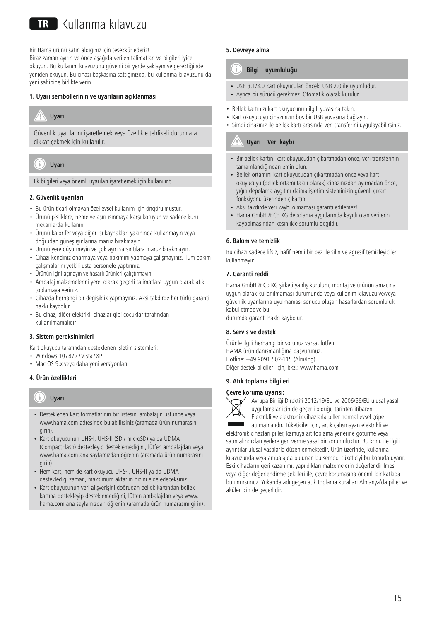Bir Hama ürünü satın aldığınız için teşekkür ederiz!

Biraz zaman ayırın ve önce aşağıda verilen talimatları ve bilgileri iyice okuyun. Bu kullanım kılavuzunu güvenli bir yerde saklayın ve gerektiğinde yeniden okuyun. Bu cihazı başkasına sattığınızda, bu kullanma kılavuzunu da yeni sahibine birlikte verin.

# **1. Uyarı sembollerinin ve uyarıların açıklanması**



Güvenlik uyarılarını işaretlemek veya özellikle tehlikeli durumlara dikkat çekmek için kullanılır.



Ek bilgileri veya önemli uyarıları işaretlemek için kullanılır.t

### **2. Güvenlik uyarıları**

- Bu ürün ticari olmayan özel evsel kullanım için öngörülmüştür.
- Ürünü pisliklere, neme ve aşırı ısınmaya karşı koruyun ve sadece kuru mekanlarda kullanın.
- Ürünü kalorifer veya diğer ısı kaynakları yakınında kullanmayın veya doğrudan güneş ışınlarına maruz bırakmayın.
- Ürünü yere düşürmeyin ve çok aşırı sarsıntılara maruz bırakmayın.
- Cihazı kendiniz onarmaya veya bakımını yapmaya çalışmayınız. Tüm bakım çalışmalarını yetkili usta personele yaptırınız.
- Ürünün içini açmayın ve hasarlı ürünleri çalıştırmayın.
- Ambalaj malzemelerini yerel olarak geçerli talimatlara uygun olarak atık toplamaya veriniz.
- Cihazda herhangi bir değişiklik yapmayınız. Aksi takdirde her türlü garanti hakkı kaybolur.
- Bu cihaz, diğer elektrikli cihazlar gibi çocuklar tarafından kullanılmamalıdır!

### **3. Sistem gereksinimleri**

Kart okuyucu tarafından desteklenen işletim sistemleri:

- Windows 10/8/7/Vista/XF
- Mac OS 9.x veya daha yeni versiyonları

# **4. Ürün özellikleri**

#### Ŧ **Uyarı**

- Desteklenen kart formatlarının bir listesini ambalajın üstünde veya www.hama.com adresinde bulabilirsiniz (aramada ürün numarasını girin).
- Kart okuyucunun UHS-I, UHS-II (SD / microSD) ya da UDMA (CompactFlash) destekleyip desteklemediğini, lütfen ambalajdan veya www.hama.com ana sayfamızdan öğrenin (aramada ürün numarasını girin).
- Hem kart, hem de kart okuyucu UHS-I, UHS-II ya da UDMA desteklediği zaman, maksimum aktarım hızını elde edeceksiniz.
- Kart okuyucunun veri alışverişini doğrudan bellek kartından bellek kartına destekleyip desteklemediğini, lütfen ambalajdan veya www. hama.com ana sayfamızdan öğrenin (aramada ürün numarasını girin).

# **5. Devreye alma**

#### G **Bilgi – uyumluluğu**

- USB 3.1/3.0 kart okuyucuları önceki USB 2.0 ile uyumludur.
- Ayrıca bir sürücü gerekmez. Otomatik olarak kurulur.
- Bellek kartınızı kart okuyucunun ilgili yuvasına takın.
- Kart okuyucuyu cihazınızın boş bir USB yuvasına bağlayın.
- Şimdi cihazınız ile bellek kartı arasında veri transferini uygulayabilirsiniz.

# **Uyarı – Veri kaybı**

- Bir bellek kartını kart okuyucudan çıkartmadan önce, veri transferinin tamamlandığından emin olun.
- Bellek ortamını kart okuyucudan çıkartmadan önce veya kart okuyucuyu (bellek ortamı takılı olarak) cihazınızdan ayırmadan önce, yığın depolama aygıtını daima işletim sisteminizin güvenli çıkart fonksiyonu üzerinden çıkartın.
- Aksi takdirde veri kaybı olmaması garanti edilemez!
- Hama GmbH & Co KG depolama aygıtlarında kayıtlı olan verilerin kaybolmasından kesinlikle sorumlu değildir.

## **6. Bakım ve temizlik**

Bu cihazı sadece lifsiz, hafif nemli bir bez ile silin ve agresif temizleyiciler kullanmayın.

### **7. Garanti reddi**

Hama GmbH & Co KG şirketi yanlış kurulum, montaj ve ürünün amacına uygun olarak kullanılmaması durumunda veya kullanım kılavuzu ve/veya güvenlik uyarılarına uyulmaması sonucu oluşan hasarlardan sorumluluk kabul etmez ve bu

durumda garanti hakkı kaybolur.

### **8. Servis ve destek**

Ürünle ilgili herhangi bir sorunuz varsa, lütfen HAMA ürün danışmanlığına başvurunuz. Hotline: +49 9091 502-115 (Alm/İng) Diğer destek bilgileri için, bkz.: www.hama.com

# **9. Atık toplama bilgileri**

#### **Çevre koruma uyarısı:**



Avrupa Birliği Direktifi 2012/19/EU ve 2006/66/EU ulusal yasal uygulamalar için de geçerli olduğu tarihten itibaren: Elektrikli ve elektronik cihazlarla piller normal evsel çöpe

atılmamalıdır. Tüketiciler için, artık çalışmayan elektrikli ve elektronik cihazları piller, kamuya ait toplama yerlerine götürme veya satın alındıkları yerlere geri verme yasal bir zorunluluktur. Bu konu ile ilgili ayrıntılar ulusal yasalarla düzenlenmektedir. Ürün üzerinde, kullanma kılavuzunda veya ambalajda bulunan bu sembol tüketiciyi bu konuda uyarır. Eski cihazların geri kazanımı, yapıldıkları malzemelerin değerlendirilmesi veya diğer değerlendirme şekilleri ile, çevre korumasına önemli bir katkıda bulunursunuz. Yukarıda adı geçen atık toplama kuralları Almanya'da piller ve aküler için de geçerlidir.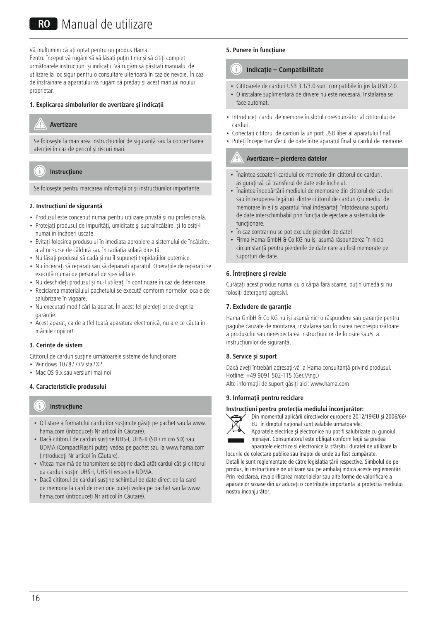# RO Manual de utilizare

Vă multumim că ați optat pentru un produs Hama. Pentru început vă rugăm să vă lăsați puțin timp și să citiți complet următoarele instrucțiuni și indicații. Vă rugăm să păstrați manualul de utilizare la loc sigur pentru o consultare ulterioară în caz de nevoie. În caz de înstrăinare a aparatului vă rugăm să predați și acest manual noului proprietar.

# **1. Explicarea simbolurilor de avertizare și indicații**

# **Avertizare**

Se folosește la marcarea instrucțiunilor de siguranță sau la concentrarea atenției în caz de pericol și riscuri mari.

#### Ŧ **Instrucțiune**

Se folosește pentru marcarea informațiilor și instrucțiunilor importante.

# **2. Instrucţiuni de siguranţă**

- Produsul este conceput numai pentru utilizare privată și nu profesională.
- Protejati produsul de impurități, umiditate și supraîncălzire. și folositi-l numai în încăperi uscate.
- Evitați folosirea produsului în imediata apropiere a sistemului de încălzire, a altor surse de căldură sau în radiația solară directă.
- Nu lăsați produsul să cadă și nu îl supuneți trepidațiilor puternice.
- Nu încercați să reparați sau să depanați aparațul. Operațiile de reparații se execută numai de personal de specialitate.
- Nu deschideți produsul și nu-l utilizați în continuare în caz de deterioare.
- Reciclarea materialului pachetului se execută comform normelor locale de salubrizare în vigoare.
- Nu executati modificări la aparat. În acest fel pierdeți orice drept la garantie.
- Acest aparat, ca de altfel toată aparatura electronică, nu are ce căuta în mâinile copiilor!

### **3. Cerinţe de sistem**

Cititorul de carduri susține următoarele sisteme de funcționare:

- Windows  $10/8/7$  / Vista / XP
- Mac OS 9.x sau versiuni mai noi

### **4. Caracteristicile produsului**

#### Ŧ **Instrucțiune**

- O listare a formatului cardurilor susținute găsiți pe pachet sau la www. hama.com (introduceți Nr articol în Căutare).
- Dacă cititorul de carduri susține UHS-I, UHS-II (SD / micro SD) sau UDMA (CompactFlash) puteți vedea pe pachet sau la www.hama.com (introduceți Nr articol în Căutare).
- Viteza maximă de transmitere se obține dacă atât cardul cât și cititorul da carduri susțin UHS-I, UHS-II respectiv UDMA.
- Dacă cititorul de carduri susține schimbul de date direct de la card de memorie la card de memorie puteți vedea pe pachet sau la www. hama.com (introduceți Nr articol în Căutare).

## **5. Punere în funcţiune**

#### n **Indicație – Compatibilitate**

- Cititoarele de carduri USB 3.1/3.0 sunt compatibile în jos la USB 2.0.
- O instalare suplimentară de drivere nu este necesară. Instalarea se face automat.
- Introduceți cardul de memorie în slotul corespunzător al cititorului de carduri.
- Conectați cititorul de carduri la un port USB liber al aparatului final.
- Puteți începe transferul de date între aparatul final și cardul de memorie.

# **Avertizare–pierderea datelor**

- Înaintea scoaterii cardului de memorie din cititorul de carduri, asigurați-vă că transferul de date este încheiat.
- Înaintea îndepărtării mediului de memorare din cititorul de carduri sau întreruperea legăturii dintre cititorul de carduri (cu mediul de memorare în el) și aparatul final,îndepărtați întotdeauna suportul de date interschimbabil prin funcția de ejectare a sistemului de funcționare.
- În caz contrar nu se pot exclude pierderi de date!
- Firma Hama GmbH & Co KG nu își asumă răspunderea în nicio circumstanță pentru pierderile de date care au fost memorate pe suporturi de date.

### **6. Întreţinere şi revizie**

Curățați acest produs numai cu o cârpă fără scame, puțin umedă și nu folosiți detergenți agresivi.

#### **7. Excludere de garanție**

Hama GmbH & Co KG nu îşi asumă nici o răspundere sau garanție pentru pagube cauzate de montarea, instalarea sau folosirea necorespunzătoare a produsului sau nerespectarea instrucțiunilor de folosire sau/și a instrucțiunilor de siguranță.

### **8. Service și suport**

Dacă aveți întrebări adresaţi-vă la Hama consultanță privind produsul. Hotline: +49 9091 502-115 (Ger./Ang.) Alte informații de suport găsiți aici: www.hama.com

#### **9. Informații pentru reciclare**

#### **Instrucţiuni pentru protecţia mediului înconjurător:**



Din momentul aplicării directivelor europene 2012/19/EU şi 2006/66/ EU în dreptul național sunt valabile următoarele:

Aparatele electrice şi electronice nu pot fi salubrizate cu gunoiul menajer. Consumatorul este obligat conform legii să predea aparatele electrice și electronice la sfârșitul duratei de utilizare la

locurile de colectare publice sau înapoi de unde au fost cumpărate. Detaliile sunt reglementate de către legislaţia țării respective. Simbolul de pe produs, în instrucțiunile de utilizare sau pe ambalaj indică aceste reglementări. Prin reciclarea, revalorificarea materialelor sau alte forme de valorificare a aparatelor scoase din uz aduceți o contribuție importantă la protecția mediului nostru înconjurător.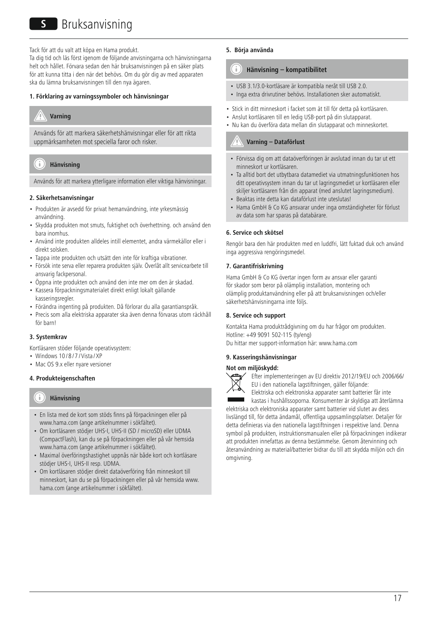Tack för att du valt att köpa en Hama produkt.

Ta dig tid och läs först igenom de följande anvisningarna och hänvisningarna helt och hållet. Förvara sedan den här bruksanvisningen på en säker plats för att kunna titta i den när det behövs. Om du gör dig av med apparaten ska du lämna bruksanvisningen till den nya ägaren.

#### **1. Förklaring av varningssymboler och hänvisningar**

# **Varning**

Används för att markera säkerhetshänvisningar eller för att rikta uppmärksamheten mot speciella faror och risker.

#### T **Hänvisning**

Används för att markera ytterligare information eller viktiga hänvisningar.

### **2. Säkerhetsanvisningar**

- Produkten är avsedd för privat hemanvändning, inte yrkesmässig användning.
- Skydda produkten mot smuts, fuktighet och överhettning. och använd den bara inomhus.
- Använd inte produkten alldeles intill elementet, andra värmekällor eller i direkt solsken.
- Tappa inte produkten och utsätt den inte för kraftiga vibrationer.
- Försök inte serva eller reparera produkten själv. Överlåt allt servicearbete till ansvarig fackpersonal.
- Öppna inte produkten och använd den inte mer om den är skadad.
- Kassera förpackningsmaterialet direkt enligt lokalt gällande kasseringsregler.
- Förändra ingenting på produkten. Då förlorar du alla garantianspråk.
- Precis som alla elektriska apparater ska även denna förvaras utom räckhåll för barn!

#### **3. Systemkrav**

Kortläsaren stöder följande operativsystem:

- Windows 10/8/7/Vista/XP
- Mac OS 9.x eller nyare versioner

### **4. Produkteigenschaften**

#### Ŧ **Hänvisning**

- En lista med de kort som stöds finns på förpackningen eller på www.hama.com (ange artikelnummer i sökfältet).
- Om kortläsaren stödjer UHS-I, UHS-II (SD / microSD) eller UDMA (CompactFlash), kan du se på förpackningen eller på vår hemsida www.hama.com (ange artikelnummer i sökfältet).
- Maximal överföringshastighet uppnås när både kort och kortläsare stödjer UHS-I, UHS-II resp. UDMA.
- Om kortläsaren stödjer direkt dataöverföring från minneskort till minneskort, kan du se på förpackningen eller på vår hemsida www. hama.com (ange artikelnummer i sökfältet).

### **5. Börja använda**

#### T **Hänvisning – kompatibilitet**

- USB 3.1/3.0-kortläsare är kompatibla neråt till USB 2.0.
- Inga extra drivrutiner behövs. Installationen sker automatiskt.
- Stick in ditt minneskort i facket som ät till för detta på kortläsaren.
- Anslut kortläsaren till en ledig USB-port på din slutapparat.
- Nu kan du överföra data mellan din slutapparat och minneskortet.

# **Varning – Dataförlust**

- Förvissa dig om att dataöverföringen är avslutad innan du tar ut ett minneskort ur kortläsaren.
- Ta alltid bort det utbytbara datamediet via utmatningsfunktionen hos ditt operativsystem innan du tar ut lagringsmediet ur kortläsaren eller skiljer kortläsaren från din apparat (med anslutet lagringsmedium).
- Beaktas inte detta kan dataförlust inte uteslutas!
- Hama GmbH & Co KG ansvarar under inga omständigheter för förlust av data som har sparas på databärare.

#### **6. Service och skötsel**

Rengör bara den här produkten med en luddfri, lätt fuktad duk och använd inga aggressiva rengöringsmedel.

#### **7. Garantifriskrivning**

Hama GmbH & Co KG övertar ingen form av ansvar eller garanti för skador som beror på olämplig installation, montering och olämplig produktanvändning eller på att bruksanvisningen och/eller säkerhetshänvisningarna inte följs.

#### **8. Service och support**

Kontakta Hama produktrådgivning om du har frågor om produkten. Hotline: +49 9091 502-115 (ty/eng) Du hittar mer support-information här: www.hama.com

# **9. Kasseringshänvisningar**

#### **Not om miljöskydd:**



Efter implementeringen av EU direktiv 2012/19/EU och 2006/66/ EU i den nationella lagstiftningen, gäller följande:

Elektriska och elektroniska apparater samt batterier får inte kastas i hushållssoporna. Konsumenter är skyldiga att återlämna

elektriska och elektroniska apparater samt batterier vid slutet av dess livslängd till, för detta ändamål, offentliga uppsamlingsplatser. Detaljer för detta definieras via den nationella lagstiftningen i respektive land. Denna symbol på produkten, instruktionsmanualen eller på förpackningen indikerar att produkten innefattas av denna bestämmelse. Genom återvinning och återanvändning av material/batterier bidrar du till att skydda miljön och din omgivning.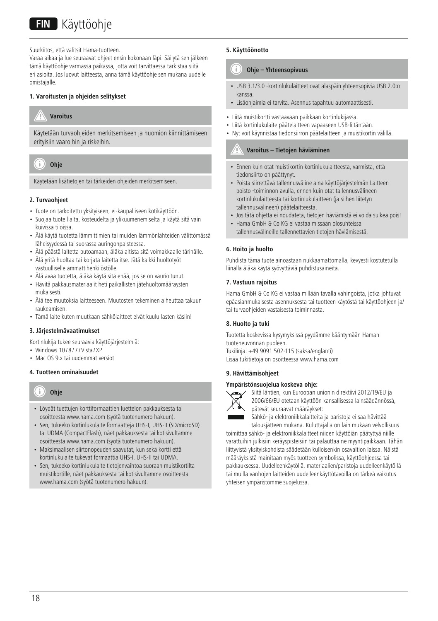Suurkiitos, että valitsit Hama-tuotteen.

Varaa aikaa ja lue seuraavat ohjeet ensin kokonaan läpi. Säilytä sen jälkeen tämä käyttöohje varmassa paikassa, jotta voit tarvittaessa tarkistaa siitä eri asioita. Jos luovut laitteesta, anna tämä käyttöohje sen mukana uudelle omistajalle.

## **1. Varoitusten ja ohjeiden selitykset**

# **Varoitus**

Käytetään turvaohjeiden merkitsemiseen ja huomion kiinnittämiseen erityisiin vaaroihin ja riskeihin.



Käytetään lisätietojen tai tärkeiden ohjeiden merkitsemiseen.

# **2. Turvaohjeet**

- Tuote on tarkoitettu yksityiseen, ei-kaupalliseen kotikäyttöön.
- Suojaa tuote lialta, kosteudelta ja ylikuumenemiselta ja käytä sitä vain kuivissa tiloissa.
- Älä käytä tuotetta lämmittimien tai muiden lämmönlähteiden välittömässä läheisyydessä tai suorassa auringonpaisteessa.
- Älä päästä laitetta putoamaan, äläkä altista sitä voimakkaalle tärinälle.
- Älä yritä huoltaa tai korjata laitetta itse. Jätä kaikki huoltotyöt vastuulliselle ammattihenkilöstölle.
- Älä avaa tuotetta, äläkä käytä sitä enää, jos se on vaurioitunut.
- Hävitä pakkausmateriaalit heti paikallisten jätehuoltomääräysten mukaisesti.
- Älä tee muutoksia laitteeseen. Muutosten tekeminen aiheuttaa takuun raukeamisen.
- Tämä laite kuten muutkaan sähkölaitteet eivät kuulu lasten käsiin!

### **3. Järjestelmävaatimukset**

Kortinlukija tukee seuraavia käyttöjärjestelmiä:

- Windows 10/8/7/Vista/XP
- Mac OS 9.x tai uudemmat versiot

# **4. Tuotteen ominaisuudet**

#### Ð **Ohje**

- Löydät tuettujen korttiformaattien luettelon pakkauksesta tai osoitteesta www.hama.com (syötä tuotenumero hakuun).
- Sen, tukeeko kortinlukulaite formaatteja UHS-I, UHS-II (SD/microSD) tai UDMA (CompactFlash), näet pakkauksesta tai kotisivultamme osoitteesta www.hama.com (syötä tuotenumero hakuun).
- Maksimaalisen siirtonopeuden saavutat, kun sekä kortti että kortinlukulaite tukevat formaattia UHS-I, UHS-II tai UDMA.
- Sen, tukeeko kortinlukulaite tietojenvaihtoa suoraan muistikortilta muistikortille, näet pakkauksesta tai kotisivultamme osoitteesta www.hama.com (syötä tuotenumero hakuun).

# **5. Käyttöönotto**

#### 61 **Ohje – Yhteensopivuus**

- USB 3.1/3.0 -kortinlukulaitteet ovat alaspäin yhteensopivia USB 2.0:n kanssa.
- Lisäohjaimia ei tarvita. Asennus tapahtuu automaattisesti.
- Liitä muistikortti vastaavaan paikkaan kortinlukijassa.
- Liitä kortinlukulaite päätelaitteen vapaaseen USB-liitäntään.
- Nyt voit käynnistää tiedonsiirron päätelaitteen ja muistikortin välillä.

# **Varoitus – Tietojen häviäminen**

- Ennen kuin otat muistikortin kortinlukulaitteesta, varmista, että tiedonsiirto on päättynyt.
- Poista siirrettävä tallennusväline aina käyttöjärjestelmän Laitteen poisto -toiminnon avulla, ennen kuin otat tallennusvälineen kortinlukulaitteesta tai kortinlukulaitteen (ja siihen liitetyn tallennusvälineen) päätelaitteesta.
- Jos tätä ohjetta ei noudateta, tietojen häviämistä ei voida sulkea pois!
- Hama GmbH & Co KG ei vastaa missään olosuhteissa tallennusvälineille tallennettavien tietojen häviämisestä.

# **6. Hoito ja huolto**

Puhdista tämä tuote ainoastaan nukkaamattomalla, kevyesti kostutetulla liinalla äläkä käytä syövyttäviä puhdistusaineita.

# **7. Vastuun rajoitus**

Hama GmbH & Co KG ei vastaa millään tavalla vahingoista, jotka johtuvat epäasianmukaisesta asennuksesta tai tuotteen käytöstä tai käyttöohjeen ja/ tai turvaohjeiden vastaisesta toiminnasta.

# **8. Huolto ja tuki**

Tuotetta koskevissa kysymyksissä pyydämme kääntymään Haman tuoteneuvonnan puoleen. Tukilinja: +49 9091 502-115 (saksa/englanti) Lisää tukitietoja on osoitteessa www.hama.com

### **9. Hävittämisohjeet**

# **Ympäristönsuojelua koskeva ohje:**



Siitä lähtien, kun Euroopan unionin direktiivi 2012/19/EU ja 2006/66/EU otetaan käyttöön kansallisessa lainsäädännössä, pätevät seuraavat määräykset:

Sähkö- ja elektroniikkalaitteita ja paristoja ei saa hävittää talousjätteen mukana. Kuluttajalla on lain mukaan velvollisuus

toimittaa sähkö- ja elektroniikkalaitteet niiden käyttöiän päätyttyä niille varattuihin julkisiin keräyspisteisiin tai palauttaa ne myyntipaikkaan. Tähän liittyvistä yksityiskohdista säädetään kulloisenkin osavaltion laissa. Näistä määräyksistä mainitaan myös tuotteen symbolissa, käyttöohjeessa tai pakkauksessa. Uudelleenkäytöllä, materiaalien/paristoja uudelleenkäytöllä tai muilla vanhojen laitteiden uudelleenkäyttötavoilla on tärkeä vaikutus yhteisen ympäristömme suojelussa.